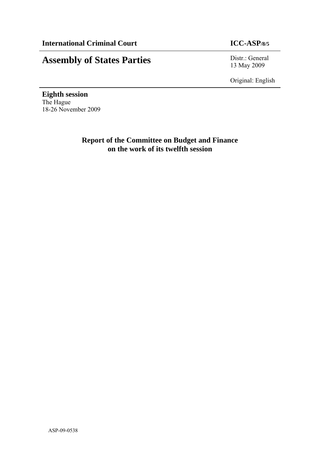# **Assembly of States Parties** Distr.: General

13 May 2009

Original: English

**Eighth session**  The Hague 18-26 November 2009

# **Report of the Committee on Budget and Finance on the work of its twelfth session**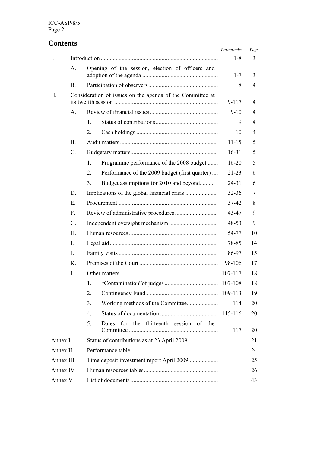# **Contents**

|           |                |                                                           | Paragraphs | Page |
|-----------|----------------|-----------------------------------------------------------|------------|------|
| Ι.        |                |                                                           | 1-8        | 3    |
|           | A.             | Opening of the session, election of officers and          | $1 - 7$    | 3    |
|           | B <sub>1</sub> |                                                           | 8          | 4    |
| П.        |                | Consideration of issues on the agenda of the Committee at | 9-117      | 4    |
|           | $\mathsf{A}$ . |                                                           | $9-10$     | 4    |
|           |                | 1.                                                        | 9          | 4    |
|           |                | 2.                                                        | 10         | 4    |
|           | <b>B.</b>      |                                                           | $11 - 15$  | 5    |
|           | C.             |                                                           | $16-31$    | 5    |
|           |                | Programme performance of the 2008 budget<br>1.            | $16 - 20$  | 5    |
|           |                | 2.<br>Performance of the 2009 budget (first quarter)      | $21 - 23$  | 6    |
|           |                | Budget assumptions for 2010 and beyond<br>3.              | $24 - 31$  | 6    |
|           | D.             |                                                           | $32 - 36$  | 7    |
|           | Ε.             |                                                           | 37-42      | 8    |
|           | $F_{\rm{L}}$   |                                                           | 43-47      | 9    |
|           | G.             |                                                           | 48-53      | 9    |
|           | Н.             |                                                           | 54-77      | 10   |
|           | I.             |                                                           | 78-85      | 14   |
|           | J.             |                                                           | 86-97      | 15   |
|           | Κ.             |                                                           | 98-106     | 17   |
|           | L.             |                                                           | 107-117    | 18   |
|           |                | 1.                                                        | 107-108    | 18   |
|           |                | 2.                                                        |            | 19   |
|           |                | 3.                                                        | 114        | 20   |
|           |                | 4.                                                        |            | 20   |
|           |                | 5.<br>for the thirteenth session of the<br>Dates          | 117        | 20   |
| Annex I   |                |                                                           |            | 21   |
| Annex II  |                |                                                           |            | 24   |
| Annex III |                |                                                           |            | 25   |
| Annex IV  |                |                                                           |            | 26   |
| Annex V   |                |                                                           |            | 43   |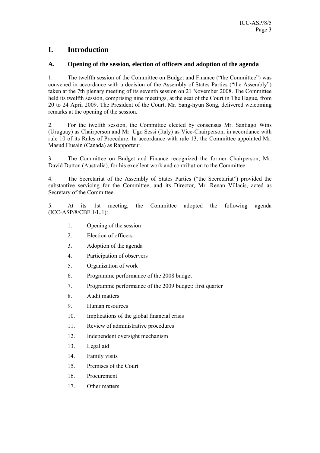# **I. Introduction**

#### **A. Opening of the session, election of officers and adoption of the agenda**

1. The twelfth session of the Committee on Budget and Finance ("the Committee") was convened in accordance with a decision of the Assembly of States Parties ("the Assembly") taken at the 7th plenary meeting of its seventh session on 21 November 2008. The Committee held its twelfth session, comprising nine meetings, at the seat of the Court in The Hague, from 20 to 24 April 2009. The President of the Court, Mr. Sang-hyun Song, delivered welcoming remarks at the opening of the session.

2. For the twelfth session, the Committee elected by consensus Mr. Santiago Wins (Uruguay) as Chairperson and Mr. Ugo Sessi (Italy) as Vice-Chairperson, in accordance with rule 10 of its Rules of Procedure. In accordance with rule 13, the Committee appointed Mr. Masud Husain (Canada) as Rapporteur.

3. The Committee on Budget and Finance recognized the former Chairperson, Mr. David Dutton (Australia), for his excellent work and contribution to the Committee.

4. The Secretariat of the Assembly of States Parties ("the Secretariat") provided the substantive servicing for the Committee, and its Director*,* Mr. Renan Villacis, acted as Secretary of the Committee.

5. At its 1st meeting, the Committee adopted the following agenda (ICC-ASP/8/CBF.1/L.1):

- 1. Opening of the session
- 2. Election of officers
- 3. Adoption of the agenda
- 4. Participation of observers
- 5. Organization of work
- 6. Programme performance of the 2008 budget
- 7. Programme performance of the 2009 budget: first quarter
- 8. Audit matters
- 9. Human resources
- 10. Implications of the global financial crisis
- 11. Review of administrative procedures
- 12. Independent oversight mechanism
- 13. Legal aid
- 14. Family visits
- 15. Premises of the Court
- 16. Procurement
- 17. Other matters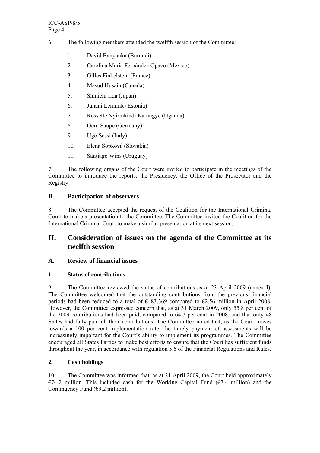- 6. The following members attended the twelfth session of the Committee:
	- 1. David Banyanka (Burundi)
	- 2. Carolina María Fernández Opazo (Mexico)
	- 3. Gilles Finkelstein (France)
	- 4. Masud Husain (Canada)
	- 5. Shinichi Iida (Japan)
	- 6. Juhani Lemmik (Estonia)
	- 7. Rossette Nyirinkindi Katungye (Uganda)
	- 8. Gerd Saupe (Germany)
	- 9. Ugo Sessi (Italy)
	- 10. Elena Sopková (Slovakia)
	- 11. Santiago Wins (Uruguay)

7. The following organs of the Court were invited to participate in the meetings of the Committee to introduce the reports: the Presidency, the Office of the Prosecutor and the Registry.

#### **B. Participation of observers**

8. The Committee accepted the request of the Coalition for the International Criminal Court to make a presentation to the Committee. The Committee invited the Coalition for the International Criminal Court to make a similar presentation at its next session.

# **II. Consideration of issues on the agenda of the Committee at its twelfth session**

### **A. Review of financial issues**

#### **1. Status of contributions**

9. The Committee reviewed the status of contributions as at 23 April 2009 (annex I). The Committee welcomed that the outstanding contributions from the previous financial periods had been reduced to a total of  $\epsilon$ 483,369 compared to  $\epsilon$ 2.56 million in April 2008. However, the Committee expressed concern that, as at 31 March 2009, only 55.8 per cent of the 2009 contributions had been paid, compared to 64.7 per cent in 2008, and that only 48 States had fully paid all their contributions. The Committee noted that, as the Court moves towards a 100 per cent implementation rate, the timely payment of assessments will be increasingly important for the Court's ability to implement its programmes. The Committee encouraged all States Parties to make best efforts to ensure that the Court has sufficient funds throughout the year, in accordance with regulation 5.6 of the Financial Regulations and Rules.

#### **2. Cash holdings**

10. The Committee was informed that, as at 21 April 2009, the Court held approximately  $E$ 74.2 million. This included cash for the Working Capital Fund ( $E$ 7.4 million) and the Contingency Fund  $(69.2 \text{ million})$ .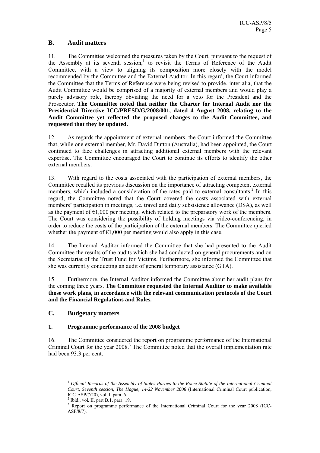#### **B. Audit matters**

11. The Committee welcomed the measures taken by the Court, pursuant to the request of the Assembly at its seventh session,<sup>1</sup> to revisit the Terms of Reference of the Audit Committee, with a view to aligning its composition more closely with the model recommended by the Committee and the External Auditor. In this regard, the Court informed the Committee that the Terms of Reference were being revised to provide, inter alia, that the Audit Committee would be comprised of a majority of external members and would play a purely advisory role, thereby obviating the need for a veto for the President and the Prosecutor. **The Committee noted that neither the Charter for Internal Audit nor the Presidential Directive ICC/PRESD/G/2008/001, dated 4 August 2008, relating to the Audit Committee yet reflected the proposed changes to the Audit Committee, and requested that they be updated.** 

12. As regards the appointment of external members, the Court informed the Committee that, while one external member, Mr. David Dutton (Australia), had been appointed, the Court continued to face challenges in attracting additional external members with the relevant expertise. The Committee encouraged the Court to continue its efforts to identify the other external members.

13. With regard to the costs associated with the participation of external members, the Committee recalled its previous discussion on the importance of attracting competent external members, which included a consideration of the rates paid to external consultants.<sup>2</sup> In this regard, the Committee noted that the Court covered the costs associated with external members' participation in meetings, i.e. travel and daily subsistence allowance (DSA), as well as the payment of  $\epsilon$ 1,000 per meeting, which related to the preparatory work of the members. The Court was considering the possibility of holding meetings via video-conferencing, in order to reduce the costs of the participation of the external members. The Committee queried whether the payment of  $\epsilon$ 1,000 per meeting would also apply in this case.

14. The Internal Auditor informed the Committee that she had presented to the Audit Committee the results of the audits which she had conducted on general procurements and on the Secretariat of the Trust Fund for Victims. Furthermore, she informed the Committee that she was currently conducting an audit of general temporary assistance (GTA).

15. Furthermore, the Internal Auditor informed the Committee about her audit plans for the coming three years. **The Committee requested the Internal Auditor to make available those work plans, in accordance with the relevant communication protocols of the Court and the Financial Regulations and Rules.** 

#### **C. Budgetary matters**

#### **1. Programme performance of the 2008 budget**

16. The Committee considered the report on programme performance of the International Criminal Court for the year 2008.<sup>3</sup> The Committee noted that the overall implementation rate had been 93.3 per cent.

 <sup>1</sup> *Official Records of the Assembly of States Parties to the Rome Statute of the International Criminal Court, Seventh session, The Hague, 14-22 November 2008* (International Criminal Court publication, ICC-ASP/7/20), vol. I, para. 6.

 $<sup>2</sup>$  Ibid., vol. II, part B.1, para. 19.</sup>

<sup>&</sup>lt;sup>3</sup> Report on programme performance of the International Criminal Court for the year 2008 (ICC-ASP/8/7).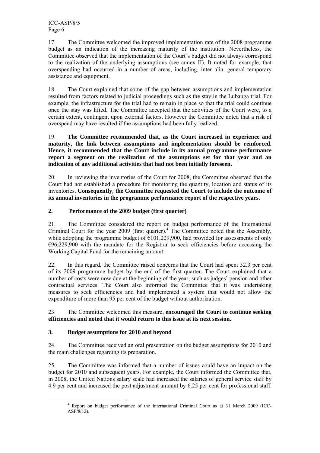17. The Committee welcomed the improved implementation rate of the 2008 programme budget as an indication of the increasing maturity of the institution. Nevertheless, the Committee observed that the implementation of the Court's budget did not always correspond to the realization of the underlying assumptions (see annex II). It noted for example, that overspending had occurred in a number of areas, including, inter alia, general temporary assistance and equipment.

18. The Court explained that some of the gap between assumptions and implementation resulted from factors related to judicial proceedings such as the stay in the Lubanga trial. For example, the infrastructure for the trial had to remain in place so that the trial could continue once the stay was lifted. The Committee accepted that the activities of the Court were, to a certain extent, contingent upon external factors. However the Committee noted that a risk of overspend may have resulted if the assumptions had been fully realized.

19. **The Committee recommended that, as the Court increased in experience and maturity, the link between assumptions and implementation should be reinforced. Hence, it recommended that the Court include in its annual programme performance report a segment on the realization of the assumptions set for that year and an indication of any additional activities that had not been initially foreseen.** 

20. In reviewing the inventories of the Court for 2008, the Committee observed that the Court had not established a procedure for monitoring the quantity, location and status of its inventories. **Consequently, the Committee requested the Court to include the outcome of its annual inventories in the programme performance report of the respective years.**

#### **2. Performance of the 2009 budget (first quarter)**

21. The Committee considered the report on budget performance of the International Criminal Court for the year 2009 (first quarter).<sup>4</sup> The Committee noted that the Assembly, while adopting the programme budget of  $\epsilon$ 101,229,900, had provided for assessments of only  $696,229,900$  with the mandate for the Registrar to seek efficiencies before accessing the Working Capital Fund for the remaining amount.

22. In this regard, the Committee raised concerns that the Court had spent 32.3 per cent of its 2009 programme budget by the end of the first quarter. The Court explained that a number of costs were now due at the beginning of the year, such as judges' pension and other contractual services. The Court also informed the Committee that it was undertaking measures to seek efficiencies and had implemented a system that would not allow the expenditure of more than 95 per cent of the budget without authorization.

#### 23. The Committee welcomed this measure, **encouraged the Court to continue seeking efficiencies and noted that it would return to this issue at its next session.**

### **3. Budget assumptions for 2010 and beyond**

24. The Committee received an oral presentation on the budget assumptions for 2010 and the main challenges regarding its preparation.

25. The Committee was informed that a number of issues could have an impact on the budget for 2010 and subsequent years. For example, the Court informed the Committee that, in 2008, the United Nations salary scale had increased the salaries of general service staff by 4.9 per cent and increased the post adjustment amount by 6.25 per cent for professional staff.

 $\frac{1}{4}$  Report on budget performance of the International Criminal Court as at 31 March 2009 (ICC-ASP/8/12).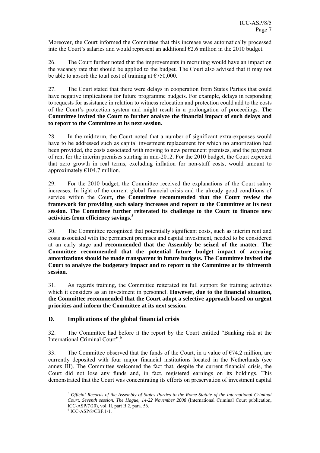Moreover, the Court informed the Committee that this increase was automatically processed into the Court's salaries and would represent an additional  $\epsilon$ 2.6 million in the 2010 budget.

26. The Court further noted that the improvements in recruiting would have an impact on the vacancy rate that should be applied to the budget. The Court also advised that it may not be able to absorb the total cost of training at  $\epsilon$ 750,000.

27. The Court stated that there were delays in cooperation from States Parties that could have negative implications for future programme budgets. For example, delays in responding to requests for assistance in relation to witness relocation and protection could add to the costs of the Court's protection system and might result in a prolongation of proceedings. **The Committee invited the Court to further analyze the financial impact of such delays and to report to the Committee at its next session.** 

28. In the mid-term, the Court noted that a number of significant extra-expenses would have to be addressed such as capital investment replacement for which no amortization had been provided, the costs associated with moving to new permanent premises, and the payment of rent for the interim premises starting in mid-2012. For the 2010 budget, the Court expected that zero growth in real terms, excluding inflation for non-staff costs, would amount to approximately  $€104.7$  million.

29. For the 2010 budget, the Committee received the explanations of the Court salary increases. In light of the current global financial crisis and the already good conditions of service within the Court**, the Committee recommended that the Court review the framework for providing such salary increases and report to the Committee at its next session. The Committee further reiterated its challenge to the Court to finance new activities from efficiency savings.**<sup>5</sup> 

30. The Committee recognized that potentially significant costs, such as interim rent and costs associated with the permanent premises and capital investment, needed to be considered at an early stage and **recommended that the Assembly be seized of the matter**. **The Committee recommended that the potential future budget impact of accruing amortizations should be made transparent in future budgets. The Committee invited the Court to analyze the budgetary impact and to report to the Committee at its thirteenth session.** 

31. As regards training, the Committee reiterated its full support for training activities which it considers as an investment in personnel. **However, due to the financial situation, the Committee recommended that the Court adopt a selective approach based on urgent priorities and inform the Committee at its next session.** 

#### **D. Implications of the global financial crisis**

32. The Committee had before it the report by the Court entitled "Banking risk at the International Criminal Court"<sup>6</sup>

33. The Committee observed that the funds of the Court, in a value of  $\epsilon$ 74.2 million, are currently deposited with four major financial institutions located in the Netherlands (see annex III). The Committee welcomed the fact that, despite the current financial crisis, the Court did not lose any funds and, in fact, registered earnings on its holdings. This demonstrated that the Court was concentrating its efforts on preservation of investment capital

 <sup>5</sup> *Official Records of the Assembly of States Parties to the Rome Statute of the International Criminal Court, Seventh session, The Hague, 14-22 November 2008* (International Criminal Court publication, ICC-ASP/7/20), vol. II, part B.2, para. 56.

<sup>6</sup> ICC-ASP/8/CBF.1/1.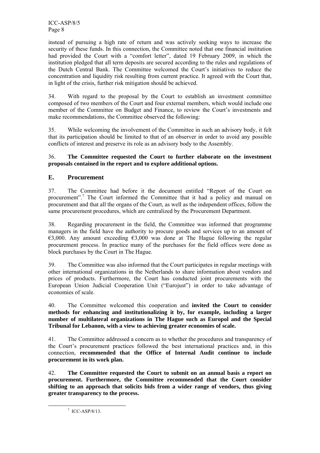instead of pursuing a high rate of return and was actively seeking ways to increase the security of these funds. In this connection, the Committee noted that one financial institution had provided the Court with a "comfort letter", dated 19 February 2009, in which the institution pledged that all term deposits are secured according to the rules and regulations of the Dutch Central Bank. The Committee welcomed the Court's initiatives to reduce the concentration and liquidity risk resulting from current practice. It agreed with the Court that, in light of the crisis, further risk mitigation should be achieved.

34. With regard to the proposal by the Court to establish an investment committee composed of two members of the Court and four external members, which would include one member of the Committee on Budget and Finance, to review the Court's investments and make recommendations, the Committee observed the following:

35. While welcoming the involvement of the Committee in such an advisory body, it felt that its participation should be limited to that of an observer in order to avoid any possible conflicts of interest and preserve its role as an advisory body to the Assembly.

#### 36. **The Committee requested the Court to further elaborate on the investment proposals contained in the report and to explore additional options.**

## **E. Procurement**

37. The Committee had before it the document entitled "Report of the Court on procurement".<sup>7</sup> The Court informed the Committee that it had a policy and manual on procurement and that all the organs of the Court, as well as the independent offices, follow the same procurement procedures, which are centralized by the Procurement Department.

38. Regarding procurement in the field, the Committee was informed that programme managers in the field have the authority to procure goods and services up to an amount of €3,000. Any amount exceeding €3,000 was done at The Hague following the regular procurement process. In practice many of the purchases for the field offices were done as block purchases by the Court in The Hague.

39. The Committee was also informed that the Court participates in regular meetings with other international organizations in the Netherlands to share information about vendors and prices of products. Furthermore, the Court has conducted joint procurements with the European Union Judicial Cooperation Unit ("Eurojust") in order to take advantage of economies of scale.

40. The Committee welcomed this cooperation and **invited the Court to consider methods for enhancing and institutionalizing it by, for example, including a larger number of multilateral organizations in The Hague such as Europol and the Special Tribunal for Lebanon, with a view to achieving greater economies of scale.** 

41. The Committee addressed a concern as to whether the procedures and transparency of the Court's procurement practices followed the best international practices and, in this connection, **recommended that the Office of Internal Audit continue to include procurement in its work plan.** 

42. **The Committee requested the Court to submit on an annual basis a report on procurement. Furthermore, the Committee recommended that the Court consider shifting to an approach that solicits bids from a wider range of vendors, thus giving greater transparency to the process.** 

 <sup>7</sup>  $^7$  ICC-ASP/8/13.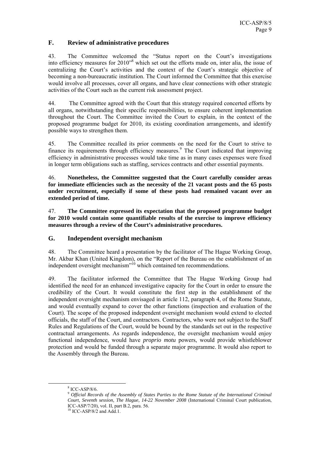#### **F. Review of administrative procedures**

43. The Committee welcomed the "Status report on the Court's investigations into efficiency measures for 2010"8 which set out the efforts made on, inter alia, the issue of centralizing the Court's activities and the context of the Court's strategic objective of becoming a non-bureaucratic institution. The Court informed the Committee that this exercise would involve all processes, cover all organs, and have clear connections with other strategic activities of the Court such as the current risk assessment project.

44. The Committee agreed with the Court that this strategy required concerted efforts by all organs, notwithstanding their specific responsibilities, to ensure coherent implementation throughout the Court. The Committee invited the Court to explain, in the context of the proposed programme budget for 2010, its existing coordination arrangements, and identify possible ways to strengthen them.

45. The Committee recalled its prior comments on the need for the Court to strive to finance its requirements through efficiency measures.<sup>9</sup> The Court indicated that improving efficiency in administrative processes would take time as in many cases expenses were fixed in longer term obligations such as staffing, services contracts and other essential payments.

46. **Nonetheless, the Committee suggested that the Court carefully consider areas for immediate efficiencies such as the necessity of the 21 vacant posts and the 65 posts under recruitment, especially if some of these posts had remained vacant over an extended period of time.** 

47. **The Committee expressed its expectation that the proposed programme budget for 2010 would contain some quantifiable results of the exercise to improve efficiency measures through a review of the Court's administrative procedures.** 

#### **G. Independent oversight mechanism**

48. The Committee heard a presentation by the facilitator of The Hague Working Group, Mr. Akbar Khan (United Kingdom), on the "Report of the Bureau on the establishment of an independent oversight mechanism"<sup>10</sup> which contained ten recommendations.

49. The facilitator informed the Committee that The Hague Working Group had identified the need for an enhanced investigative capacity for the Court in order to ensure the credibility of the Court. It would constitute the first step in the establishment of the independent oversight mechanism envisaged in article 112, paragraph 4, of the Rome Statute, and would eventually expand to cover the other functions (inspection and evaluation of the Court). The scope of the proposed independent oversight mechanism would extend to elected officials, the staff of the Court, and contractors. Contractors, who were not subject to the Staff Rules and Regulations of the Court, would be bound by the standards set out in the respective contractual arrangements. As regards independence, the oversight mechanism would enjoy functional independence, would have *proprio motu* powers, would provide whistleblower protection and would be funded through a separate major programme. It would also report to the Assembly through the Bureau.

 $\frac{1}{8}$  $8$  ICC-ASP/8/6.

<sup>9</sup> *Official Records of the Assembly of States Parties to the Rome Statute of the International Criminal Court, Seventh session, The Hague, 14-22 November 2008* (International Criminal Court publication, ICC-ASP/7/20), vol. II, part B.2, para. 56.

 $10$  ICC-ASP/8/2 and Add.1.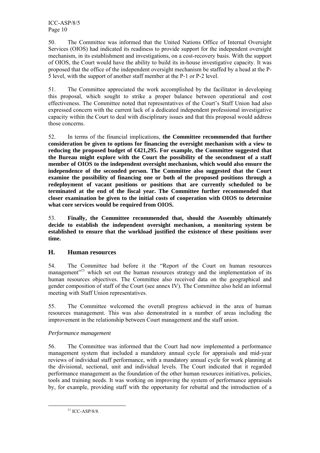50. The Committee was informed that the United Nations Office of Internal Oversight Services (OIOS) had indicated its readiness to provide support for the independent oversight mechanism, in its establishment and investigations, on a cost-recovery basis. With the support of OIOS, the Court would have the ability to build its in-house investigative capacity. It was proposed that the office of the independent oversight mechanism be staffed by a head at the P-5 level, with the support of another staff member at the P-1 or P-2 level.

51. The Committee appreciated the work accomplished by the facilitator in developing this proposal, which sought to strike a proper balance between operational and cost effectiveness. The Committee noted that representatives of the Court's Staff Union had also expressed concern with the current lack of a dedicated independent professional investigative capacity within the Court to deal with disciplinary issues and that this proposal would address those concerns.

52. In terms of the financial implications, **the Committee recommended that further consideration be given to options for financing the oversight mechanism with a view to reducing the proposed budget of €421,295. For example, the Committee suggested that the Bureau might explore with the Court the possibility of the secondment of a staff member of OIOS to the independent oversight mechanism, which would also ensure the independence of the seconded person. The Committee also suggested that the Court examine the possibility of financing one or both of the proposed positions through a redeployment of vacant positions or positions that are currently scheduled to be terminated at the end of the fiscal year. The Committee further recommended that closer examination be given to the initial costs of cooperation with OIOS to determine what core services would be required from OIOS.** 

53. **Finally, the Committee recommended that, should the Assembly ultimately decide to establish the independent oversight mechanism, a monitoring system be established to ensure that the workload justified the existence of these positions over time.** 

### **H. Human resources**

54. The Committee had before it the "Report of the Court on human resources management<sup>"11</sup> which set out the human resources strategy and the implementation of its human resources objectives. The Committee also received data on the geographical and gender composition of staff of the Court (see annex IV). The Committee also held an informal meeting with Staff Union representatives.

55. The Committee welcomed the overall progress achieved in the area of human resources management. This was also demonstrated in a number of areas including the improvement in the relationship between Court management and the staff union.

### *Performance management*

56. The Committee was informed that the Court had now implemented a performance management system that included a mandatory annual cycle for appraisals and mid-year reviews of individual staff performance, with a mandatory annual cycle for work planning at the divisional, sectional, unit and individual levels. The Court indicated that it regarded performance management as the foundation of the other human resources initiatives, policies, tools and training needs. It was working on improving the system of performance appraisals by, for example, providing staff with the opportunity for rebuttal and the introduction of a

 $11$  ICC-ASP/8/8.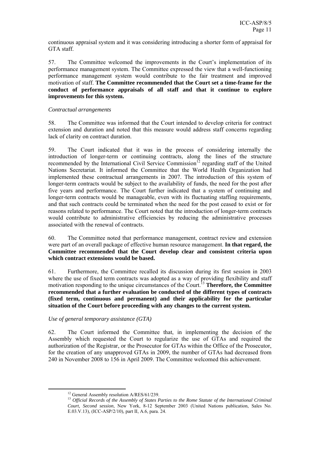continuous appraisal system and it was considering introducing a shorter form of appraisal for GTA staff.

57. The Committee welcomed the improvements in the Court's implementation of its performance management system. The Committee expressed the view that a well-functioning performance management system would contribute to the fair treatment and improved motivation of staff. **The Committee recommended that the Court set a time-frame for the conduct of performance appraisals of all staff and that it continue to explore improvements for this system.** 

#### *Contractual arrangements*

58. The Committee was informed that the Court intended to develop criteria for contract extension and duration and noted that this measure would address staff concerns regarding lack of clarity on contract duration.

59. The Court indicated that it was in the process of considering internally the introduction of longer-term or continuing contracts, along the lines of the structure recommended by the International Civil Service Commission<sup>12</sup> regarding staff of the United Nations Secretariat. It informed the Committee that the World Health Organization had implemented these contractual arrangements in 2007. The introduction of this system of longer-term contracts would be subject to the availability of funds, the need for the post after five years and performance. The Court further indicated that a system of continuing and longer-term contracts would be manageable, even with its fluctuating staffing requirements, and that such contracts could be terminated when the need for the post ceased to exist or for reasons related to performance. The Court noted that the introduction of longer-term contracts would contribute to administrative efficiencies by reducing the administrative processes associated with the renewal of contracts.

60. The Committee noted that performance management, contract review and extension were part of an overall package of effective human resource management. **In that regard, the Committee recommended that the Court develop clear and consistent criteria upon which contract extensions would be based.** 

61. Furthermore, the Committee recalled its discussion during its first session in 2003 where the use of fixed term contracts was adopted as a way of providing flexibility and staff motivation responding to the unique circumstances of the Court.<sup>13</sup> **Therefore, the Committee recommended that a further evaluation be conducted of the different types of contracts (fixed term, continuous and permanent) and their applicability for the particular situation of the Court before proceeding with any changes to the current system.** 

#### *Use of general temporary assistance (GTA)*

62. The Court informed the Committee that, in implementing the decision of the Assembly which requested the Court to regularize the use of GTAs and required the authorization of the Registrar, or the Prosecutor for GTAs within the Office of the Prosecutor, for the creation of any unapproved GTAs in 2009, the number of GTAs had decreased from 240 in November 2008 to 156 in April 2009. The Committee welcomed this achievement.

<sup>&</sup>lt;sup>12</sup> General Assembly resolution A/RES/61/239.

<sup>13</sup> *Official Records of the Assembly of States Parties to the Rome Statute of the International Criminal Court, Second session*, New York, 8-12 September 2003 (United Nations publication, Sales No. E.03.V.13), (ICC-ASP/2/10), part II, A.6, para. 24.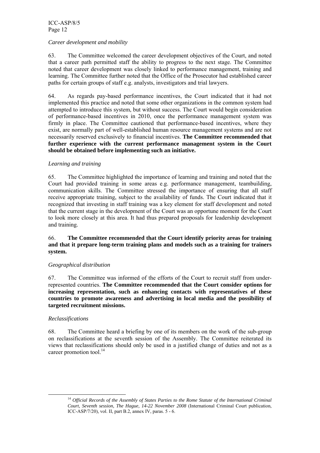#### *Career development and mobility*

63. The Committee welcomed the career development objectives of the Court, and noted that a career path permitted staff the ability to progress to the next stage. The Committee noted that career development was closely linked to performance management, training and learning. The Committee further noted that the Office of the Prosecutor had established career paths for certain groups of staff e.g. analysts, investigators and trial lawyers.

64. As regards pay-based performance incentives, the Court indicated that it had not implemented this practice and noted that some other organizations in the common system had attempted to introduce this system, but without success. The Court would begin consideration of performance-based incentives in 2010, once the performance management system was firmly in place. The Committee cautioned that performance-based incentives, where they exist, are normally part of well-established human resource management systems and are not necessarily reserved exclusively to financial incentives. **The Committee recommended that further experience with the current performance management system in the Court should be obtained before implementing such an initiative.** 

#### *Learning and training*

65. The Committee highlighted the importance of learning and training and noted that the Court had provided training in some areas e.g. performance management, teambuilding, communication skills. The Committee stressed the importance of ensuring that all staff receive appropriate training, subject to the availability of funds. The Court indicated that it recognized that investing in staff training was a key element for staff development and noted that the current stage in the development of the Court was an opportune moment for the Court to look more closely at this area. It had thus prepared proposals for leadership development and training.

#### 66. **The Committee recommended that the Court identify priority areas for training and that it prepare long-term training plans and models such as a training for trainers system.**

#### *Geographical distribution*

67. The Committee was informed of the efforts of the Court to recruit staff from underrepresented countries. **The Committee recommended that the Court consider options for increasing representation, such as enhancing contacts with representatives of these countries to promote awareness and advertising in local media and the possibility of targeted recruitment missions.** 

#### *Reclassifications*

68. The Committee heard a briefing by one of its members on the work of the sub-group on reclassifications at the seventh session of the Assembly. The Committee reiterated its views that reclassifications should only be used in a justified change of duties and not as a career promotion tool. $^{14}$ 

 <sup>14</sup> *Official Records of the Assembly of States Parties to the Rome Statute of the International Criminal Court, Seventh session, The Hague, 14-22 November 2008* (International Criminal Court publication, ICC-ASP/7/20), vol. II, part B.2, annex IV, paras. 5 - 6.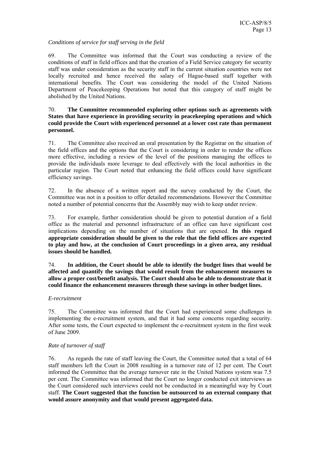#### *Conditions of service for staff serving in the field*

69. The Committee was informed that the Court was conducting a review of the conditions of staff in field offices and that the creation of a Field Service category for security staff was under consideration as the security staff in the current situation countries were not locally recruited and hence received the salary of Hague-based staff together with international benefits. The Court was considering the model of the United Nations Department of Peacekeeping Operations but noted that this category of staff might be abolished by the United Nations.

#### 70. **The Committee recommended exploring other options such as agreements with States that have experience in providing security in peacekeeping operations and which could provide the Court with experienced personnel at a lower cost rate than permanent personnel.**

71. The Committee also received an oral presentation by the Registrar on the situation of the field offices and the options that the Court is considering in order to render the offices more effective, including a review of the level of the positions managing the offices to provide the individuals more leverage to deal effectively with the local authorities in the particular region. The Court noted that enhancing the field offices could have significant efficiency savings.

72. In the absence of a written report and the survey conducted by the Court, the Committee was not in a position to offer detailed recommendations. However the Committee noted a number of potential concerns that the Assembly may wish to keep under review.

73. For example, further consideration should be given to potential duration of a field office as the material and personnel infrastructure of an office can have significant cost implications depending on the number of situations that are opened. **In this regard appropriate consideration should be given to the role that the field offices are expected to play and how, at the conclusion of Court proceedings in a given area, any residual issues should be handled.** 

74. **In addition, the Court should be able to identify the budget lines that would be affected and quantify the savings that would result from the enhancement measures to allow a proper cost/benefit analysis. The Court should also be able to demonstrate that it could finance the enhancement measures through these savings in other budget lines.** 

#### *E-recruitment*

75. The Committee was informed that the Court had experienced some challenges in implementing the e-recruitment system, and that it had some concerns regarding security. After some tests, the Court expected to implement the e-recruitment system in the first week of June 2009.

#### *Rate of turnover of staff*

76. As regards the rate of staff leaving the Court, the Committee noted that a total of 64 staff members left the Court in 2008 resulting in a turnover rate of 12 per cent. The Court informed the Committee that the average turnover rate in the United Nations system was 7.5 per cent. The Committee was informed that the Court no longer conducted exit interviews as the Court considered such interviews could not be conducted in a meaningful way by Court staff. **The Court suggested that the function be outsourced to an external company that would assure anonymity and that would present aggregated data.**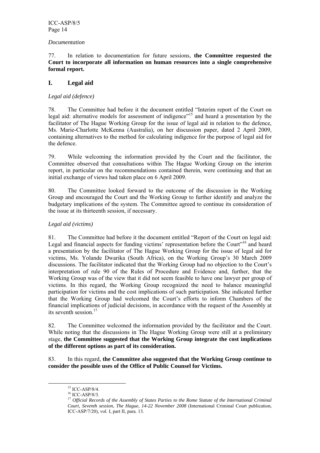#### *Documentation*

77. In relation to documentation for future sessions, **the Committee requested the Court to incorporate all information on human resources into a single comprehensive formal report.**

#### **I. Legal aid**

#### *Legal aid (defence)*

78. The Committee had before it the document entitled "Interim report of the Court on legal aid: alternative models for assessment of indigence"<sup>15</sup> and heard a presentation by the facilitator of The Hague Working Group for the issue of legal aid in relation to the defence, Ms. Marie-Charlotte McKenna (Australia), on her discussion paper, dated 2 April 2009, containing alternatives to the method for calculating indigence for the purpose of legal aid for the defence.

79. While welcoming the information provided by the Court and the facilitator, the Committee observed that consultations within The Hague Working Group on the interim report, in particular on the recommendations contained therein, were continuing and that an initial exchange of views had taken place on 6 April 2009.

80. The Committee looked forward to the outcome of the discussion in the Working Group and encouraged the Court and the Working Group to further identify and analyze the budgetary implications of the system. The Committee agreed to continue its consideration of the issue at its thirteenth session, if necessary.

#### *Legal aid (victims)*

81. The Committee had before it the document entitled "Report of the Court on legal aid: Legal and financial aspects for funding victims' representation before the Court<sup>116</sup> and heard a presentation by the facilitator of The Hague Working Group for the issue of legal aid for victims, Ms. Yolande Dwarika (South Africa), on the Working Group's 30 March 2009 discussions. The facilitator indicated that the Working Group had no objection to the Court's interpretation of rule 90 of the Rules of Procedure and Evidence and, further, that the Working Group was of the view that it did not seem feasible to have one lawyer per group of victims. In this regard, the Working Group recognized the need to balance meaningful participation for victims and the cost implications of such participation. She indicated further that the Working Group had welcomed the Court's efforts to inform Chambers of the financial implications of judicial decisions, in accordance with the request of the Assembly at its seventh session.<sup>17</sup>

82. The Committee welcomed the information provided by the facilitator and the Court. While noting that the discussions in The Hague Working Group were still at a preliminary stage, **the Committee suggested that the Working Group integrate the cost implications of the different options as part of its consideration.**

83. In this regard, **the Committee also suggested that the Working Group continue to consider the possible uses of the Office of Public Counsel for Victims.** 

 <sup>15</sup> ICC-ASP/8/4.

<sup>16</sup> ICC-ASP/8/3.

<sup>17</sup> *Official Records of the Assembly of States Parties to the Rome Statute of the International Criminal Court, Seventh session, The Hague, 14-22 November 2008* (International Criminal Court publication, ICC-ASP/7/20), vol. I, part II, para. 13.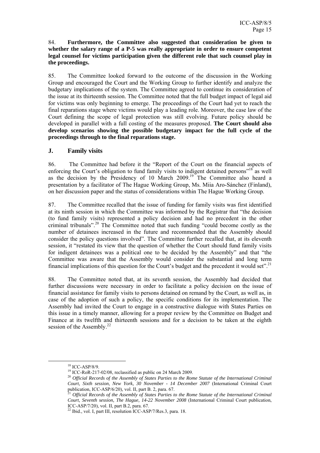#### 84. **Furthermore, the Committee also suggested that consideration be given to whether the salary range of a P-5 was really appropriate in order to ensure competent legal counsel for victims participation given the different role that such counsel play in the proceedings.**

85. The Committee looked forward to the outcome of the discussion in the Working Group and encouraged the Court and the Working Group to further identify and analyze the budgetary implications of the system. The Committee agreed to continue its consideration of the issue at its thirteenth session. The Committee noted that the full budget impact of legal aid for victims was only beginning to emerge. The proceedings of the Court had yet to reach the final reparations stage where victims would play a leading role. Moreover, the case law of the Court defining the scope of legal protection was still evolving. Future policy should be developed in parallel with a full costing of the measures proposed. **The Court should also develop scenarios showing the possible budgetary impact for the full cycle of the proceedings through to the final reparations stage.** 

#### **J. Family visits**

86. The Committee had before it the "Report of the Court on the financial aspects of enforcing the Court's obligation to fund family visits to indigent detained persons<sup>"18</sup> as well as the decision by the Presidency of 10 March  $2009$ .<sup>19</sup> The Committee also heard a presentation by a facilitator of The Hague Working Group, Ms. Miia Aro-Sánchez (Finland), on her discussion paper and the status of considerations within The Hague Working Group.

87. The Committee recalled that the issue of funding for family visits was first identified at its ninth session in which the Committee was informed by the Registrar that "the decision (to fund family visits) represented a policy decision and had no precedent in the other criminal tribunals".20 The Committee noted that such funding "could become costly as the number of detainees increased in the future and recommended that the Assembly should consider the policy questions involved". The Committee further recalled that, at its eleventh session, it "restated its view that the question of whether the Court should fund family visits for indigent detainees was a political one to be decided by the Assembly" and that "the Committee was aware that the Assembly would consider the substantial and long term financial implications of this question for the Court's budget and the precedent it would set".<sup>21</sup>

88. The Committee noted that, at its seventh session, the Assembly had decided that further discussions were necessary in order to facilitate a policy decision on the issue of financial assistance for family visits to persons detained on remand by the Court, as well as, in case of the adoption of such a policy, the specific conditions for its implementation. The Assembly had invited the Court to engage in a constructive dialogue with States Parties on this issue in a timely manner, allowing for a proper review by the Committee on Budget and Finance at its twelfth and thirteenth sessions and for a decision to be taken at the eighth session of the Assembly. $^{22}$ 

 $^{18}$  ICC-ASP/8/9.<br><sup>19</sup> ICC-RoR-217-02/08, reclassified as public on 24 March 2009.

<sup>&</sup>lt;sup>20</sup> Official Records of the Assembly of States Parties to the Rome Statute of the International Criminal *Court, Sixth session, New York, 30 November - 14 December 2007* (International Criminal Court publication, ICC-ASP/6/20), vol. II, part B. 2, para. 67.

Official Records of the Assembly of States Parties to the Rome Statute of the International Criminal *Court, Seventh session, The Hague, 14-22 November 2008* (International Criminal Court publication, ICC-ASP/7/20), vol. II, part B.2, para. 67.

 $^{22}$  Ibid., vol. I, part III, resolution ICC-ASP/7/Res.3, para. 18.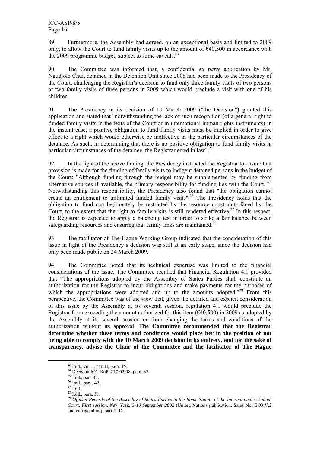89. Furthermore, the Assembly had agreed, on an exceptional basis and limited to 2009 only, to allow the Court to fund family visits up to the amount of  $\epsilon$ 40,500 in accordance with the 2009 programme budget, subject to some caveats.<sup>23</sup>

90. The Committee was informed that, a confidential *ex parte* application by Mr. Ngudjolo Chui, detained in the Detention Unit since 2008 had been made to the Presidency of the Court, challenging the Registrar's decision to fund only three family visits of two persons or two family visits of three persons in 2009 which would preclude a visit with one of his children.

91. The Presidency in its decision of 10 March 2009 ("the Decision") granted this application and stated that "notwithstanding the lack of such recognition (of a general right to funded family visits in the texts of the Court or in international human rights instruments) in the instant case, a positive obligation to fund family visits must be implied in order to give effect to a right which would otherwise be ineffective in the particular circumstances of the detainee. As such, in determining that there is no positive obligation to fund family visits in particular circumstances of the detainee, the Registrar erred in law".<sup>24</sup>

92. In the light of the above finding, the Presidency instructed the Registrar to ensure that provision is made for the funding of family visits to indigent detained persons in the budget of the Court: "Although funding through the budget may be supplemented by funding from alternative sources if available, the primary responsibility for funding lies with the Court."25 Notwithstanding this responsibility, the Presidency also found that "the obligation cannot create an entitlement to unlimited funded family visits".<sup>26</sup> The Presidency holds that the obligation to fund can legitimately be restricted by the resource constraints faced by the Court, to the extent that the right to family visits is still rendered effective.<sup>27</sup> In this respect, the Registrar is expected to apply a balancing test in order to strike a fair balance between safeguarding resources and ensuring that family links are maintained.<sup>28</sup>

93. The facilitator of The Hague Working Group indicated that the consideration of this issue in light of the Presidency's decision was still at an early stage, since the decision had only been made public on 24 March 2009.

94. The Committee noted that its technical expertise was limited to the financial considerations of the issue. The Committee recalled that Financial Regulation 4.1 provided that "The appropriations adopted by the Assembly of States Parties shall constitute an authorization for the Registrar to incur obligations and make payments for the purposes of which the appropriations were adopted and up to the amounts adopted." $29^\circ$  From this perspective, the Committee was of the view that, given the detailed and explicit consideration of this issue by the Assembly at its seventh session, regulation 4.1 would preclude the Registrar from exceeding the amount authorized for this item ( $\epsilon$ 40,500) in 2009 as adopted by the Assembly at its seventh session or from changing the terms and conditions of the authorization without its approval. **The Committee recommended that the Registrar determine whether these terms and conditions would place her in the position of not being able to comply with the 10 March 2009 decision in its entirety, and for the sake of transparency, advise the Chair of the Committee and the facilitator of The Hague** 

<sup>&</sup>lt;sup>23</sup> Ibid., vol. I, part II, para. 15.

<sup>&</sup>lt;sup>24</sup> Decision ICC-RoR-217-02/08, para. 37.

 $25$  Ibid., para 41.

 $26$  Ibid., para. 42.

 $^{27}$  Ibid.

<sup>28</sup> Ibid., para. 51.

<sup>29</sup> *Official Records of the Assembly of States Parties to the Rome Statute of the International Criminal Court, First session, New York, 3-10 September 2002* (United Nations publication, Sales No. E.03.V.2 and corrigendum), part II. D.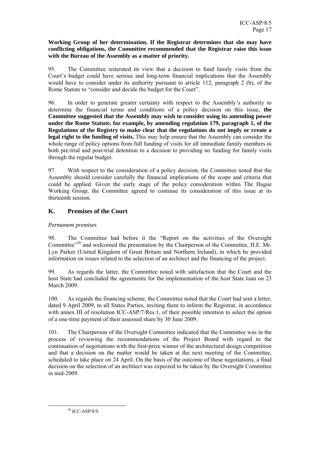#### **Working Group of her determination. If the Registrar determines that she may have conflicting obligations, the Committee recommended that the Registrar raise this issue with the Bureau of the Assembly as a matter of priority.**

95. The Committee reiterated its view that a decision to fund family visits from the Court's budget could have serious and long-term financial implications that the Assembly would have to consider under its authority pursuant to article 112, paragraph 2 (b), of the Rome Statute to "consider and decide the budget for the Court".

96. In order to generate greater certainty with respect to the Assembly's authority to determine the financial terms and conditions of a policy decision on this issue, **the Committee suggested that the Assembly may wish to consider using its amending power under the Rome Statute, for example, by amending regulation 179, paragraph 1, of the Regulations of the Registry to make clear that the regulations do not imply or create a legal right to the funding of visits.** This may help ensure that the Assembly can consider the whole range of policy options from full funding of visits for all immediate family members in both pre-trial and post-trial detention to a decision to providing no funding for family visits through the regular budget.

97. With respect to the consideration of a policy decision, the Committee noted that the Assembly should consider carefully the financial implications of the scope and criteria that could be applied. Given the early stage of the policy consideration within The Hague Working Group, the Committee agreed to continue its consideration of this issue at its thirteenth session.

### **K. Premises of the Court**

#### *Permanent premises*

98. The Committee had before it the "Report on the activities of the Oversight Committee<sup> $30$ </sup> and welcomed the presentation by the Chairperson of the Committee, H.E. Mr. Lyn Parker (United Kingdom of Great Britain and Northern Ireland), in which he provided information on issues related to the selection of an architect and the financing of the project.

99. As regards the latter, the Committee noted with satisfaction that the Court and the host State had concluded the agreements for the implementation of the host State loan on 23 March 2009.

100. As regards the financing scheme, the Committee noted that the Court had sent a letter, dated 9 April 2009, to all States Parties, inviting them to inform the Registrar, in accordance with annex III of resolution ICC-ASP/7/Res.1, of their possible intention to select the option of a one-time payment of their assessed share by 30 June 2009.

101. The Chairperson of the Oversight Committee indicated that the Committee was in the process of reviewing the recommendations of the Project Board with regard to the continuation of negotiations with the first-prize winner of the architectural design competition and that a decision on the matter would be taken at the next meeting of the Committee, scheduled to take place on 24 April. On the basis of the outcome of these negotiations, a final decision on the selection of an architect was expected to be taken by the Oversight Committee in mid-2009.

30 ICC-ASP/8/9.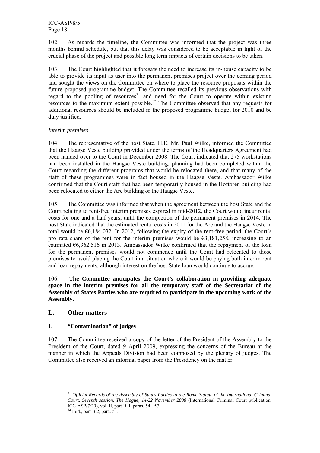102. As regards the timeline, the Committee was informed that the project was three months behind schedule, but that this delay was considered to be acceptable in light of the crucial phase of the project and possible long term impacts of certain decisions to be taken.

103. The Court highlighted that it foresaw the need to increase its in-house capacity to be able to provide its input as user into the permanent premises project over the coming period and sought the views on the Committee on where to place the resource proposals within the future proposed programme budget. The Committee recalled its previous observations with regard to the pooling of resources<sup>31</sup> and need for the Court to operate within existing resources to the maximum extent possible.<sup>32</sup> The Committee observed that any requests for additional resources should be included in the proposed programme budget for 2010 and be duly justified.

#### *Interim premises*

104. The representative of the host State, H.E. Mr. Paul Wilke, informed the Committee that the Haagse Veste building provided under the terms of the Headquarters Agreement had been handed over to the Court in December 2008. The Court indicated that 275 workstations had been installed in the Haagse Veste building, planning had been completed within the Court regarding the different programs that would be relocated there, and that many of the staff of these programmes were in fact housed in the Haagse Veste. Ambassador Wilke confirmed that the Court staff that had been temporarily housed in the Hoftoren building had been relocated to either the Arc building or the Haagse Veste.

105. The Committee was informed that when the agreement between the host State and the Court relating to rent-free interim premises expired in mid-2012, the Court would incur rental costs for one and a half years, until the completion of the permanent premises in 2014. The host State indicated that the estimated rental costs in 2011 for the Arc and the Haagse Veste in total would be  $66,184,032$ . In 2012, following the expiry of the rent-free period, the Court's pro rata share of the rent for the interim premises would be  $\epsilon$ 3,181,258, increasing to an estimated  $\epsilon$ 6,362,516 in 2013. Ambassador Wilke confirmed that the repayment of the loan for the permanent premises would not commence until the Court had relocated to those premises to avoid placing the Court in a situation where it would be paying both interim rent and loan repayments, although interest on the host State loan would continue to accrue.

106. **The Committee anticipates the Court's collaboration in providing adequate space in the interim premises for all the temporary staff of the Secretariat of the Assembly of States Parties who are required to participate in the upcoming work of the Assembly.** 

#### **L. Other matters**

#### **1. "Contamination" of judges**

107. The Committee received a copy of the letter of the President of the Assembly to the President of the Court, dated 9 April 2009, expressing the concerns of the Bureau at the manner in which the Appeals Division had been composed by the plenary of judges. The Committee also received an informal paper from the Presidency on the matter.

 <sup>31</sup> *Official Records of the Assembly of States Parties to the Rome Statute of the International Criminal Court, Seventh session, The Hague, 14-22 November 2008* (International Criminal Court publication, ICC-ASP/7/20), vol. II, part B. I, paras. 54 - 57.

<sup>32</sup> Ibid., part B.2, para. 51.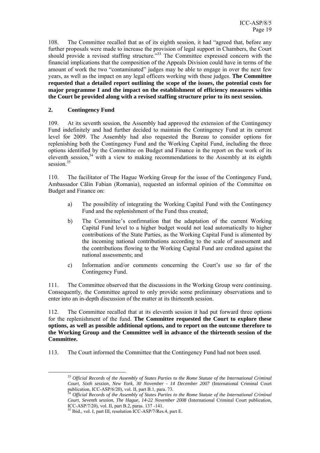108. The Committee recalled that as of its eighth session, it had "agreed that, before any further proposals were made to increase the provision of legal support in Chambers, the Court should provide a revised staffing structure.<sup>33</sup> The Committee expressed concern with the financial implications that the composition of the Appeals Division could have in terms of the amount of work the two "contaminated" judges may be able to engage in over the next few years, as well as the impact on any legal officers working with these judges. **The Committee requested that a detailed report outlining the scope of the issues, the potential costs for major programme I and the impact on the establishment of efficiency measures within the Court be provided along with a revised staffing structure prior to its next session.** 

#### **2. Contingency Fund**

109. At its seventh session, the Assembly had approved the extension of the Contingency Fund indefinitely and had further decided to maintain the Contingency Fund at its current level for 2009. The Assembly had also requested the Bureau to consider options for replenishing both the Contingency Fund and the Working Capital Fund, including the three options identified by the Committee on Budget and Finance in the report on the work of its eleventh session, $34$  with a view to making recommendations to the Assembly at its eighth session.<sup>35</sup>

110. The facilitator of The Hague Working Group for the issue of the Contingency Fund, Ambassador Călin Fabian (Romania), requested an informal opinion of the Committee on Budget and Finance on:

- a) The possibility of integrating the Working Capital Fund with the Contingency Fund and the replenishment of the Fund thus created;
- b) The Committee's confirmation that the adaptation of the current Working Capital Fund level to a higher budget would not lead automatically to higher contributions of the State Parties, as the Working Capital Fund is alimented by the incoming national contributions according to the scale of assessment and the contributions flowing to the Working Capital Fund are credited against the national assessments; and
- c) Information and/or comments concerning the Court's use so far of the Contingency Fund.

111. The Committee observed that the discussions in the Working Group were continuing. Consequently, the Committee agreed to only provide some preliminary observations and to enter into an in-depth discussion of the matter at its thirteenth session.

112. The Committee recalled that at its eleventh session it had put forward three options for the replenishment of the fund. **The Committee requested the Court to explore these options, as well as possible additional options, and to report on the outcome therefore to the Working Group and the Committee well in advance of the thirteenth session of the Committee.** 

113. The Court informed the Committee that the Contingency Fund had not been used.

 <sup>33</sup> *Official Records of the Assembly of States Parties to the Rome Statute of the International Criminal Court, Sixth session, New York, 30 November - 14 December 2007* (International Criminal Court publication, ICC-ASP/6/20), vol. II, part B.1, para. 73.

<sup>34</sup> *Official Records of the Assembly of States Parties to the Rome Statute of the International Criminal Court, Seventh session, The Hague, 14-22 November 2008* (International Criminal Court publication, ICC-ASP/7/20), vol. II, part B.2, paras. 137 -141.

<sup>35</sup> Ibid., vol. I, part III, resolution ICC-ASP/7/Res.4, part E.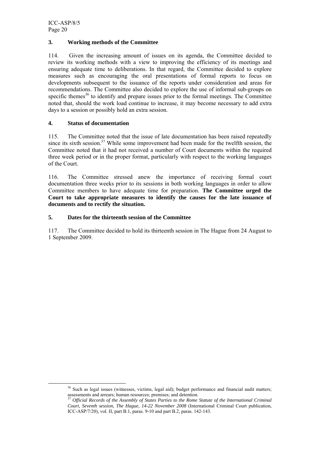#### **3. Working methods of the Committee**

114. Given the increasing amount of issues on its agenda, the Committee decided to review its working methods with a view to improving the efficiency of its meetings and ensuring adequate time to deliberations. In that regard, the Committee decided to explore measures such as encouraging the oral presentations of formal reports to focus on developments subsequent to the issuance of the reports under consideration and areas for recommendations. The Committee also decided to explore the use of informal sub-groups on specific themes<sup>36</sup> to identify and prepare issues prior to the formal meetings. The Committee noted that, should the work load continue to increase, it may become necessary to add extra days to a session or possibly hold an extra session.

#### **4. Status of documentation**

115. The Committee noted that the issue of late documentation has been raised repeatedly since its sixth session.<sup>37</sup> While some improvement had been made for the twelfth session, the Committee noted that it had not received a number of Court documents within the required three week period or in the proper format, particularly with respect to the working languages of the Court.

116. The Committee stressed anew the importance of receiving formal court documentation three weeks prior to its sessions in both working languages in order to allow Committee members to have adequate time for preparation. **The Committee urged the Court to take appropriate measures to identify the causes for the late issuance of documents and to rectify the situation.** 

#### **5. Dates for the thirteenth session of the Committee**

117. The Committee decided to hold its thirteenth session in The Hague from 24 August to 1 September 2009.

<sup>&</sup>lt;sup>36</sup> Such as legal issues (witnesses, victims, legal aid); budget performance and financial audit matters; assessments and arrears; human resources; premises; and detention.

<sup>37</sup> *Official Records of the Assembly of States Parties to the Rome Statute of the International Criminal Court, Seventh session, The Hague, 14-22 November 2008* (International Criminal Court publication, ICC-ASP/7/20), vol. II, part B.1, paras. 9-10 and part B.2, paras. 142-143.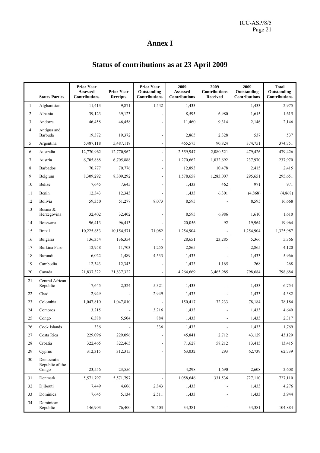# **Annex I**

# **Status of contributions as at 23 April 2009**

|                | <b>States Parties</b>                  | <b>Prior Year</b><br><b>Assessed</b><br><b>Contributions</b> | <b>Prior Year</b><br><b>Receipts</b> | <b>Prior Year</b><br>Outstanding<br><b>Contributions</b> | 2009<br>Assessed<br><b>Contributions</b> | 2009<br><b>Contributions</b><br><b>Received</b> | 2009<br>Outstanding<br>Contributions | <b>Total</b><br>Outstanding<br><b>Contributions</b> |
|----------------|----------------------------------------|--------------------------------------------------------------|--------------------------------------|----------------------------------------------------------|------------------------------------------|-------------------------------------------------|--------------------------------------|-----------------------------------------------------|
| $\mathbf{1}$   | Afghanistan                            | 11,413                                                       | 9,871                                | 1,542                                                    | 1,433                                    | $\sim$                                          | 1,433                                | 2,975                                               |
| $\overline{c}$ | Albania                                | 39,123                                                       | 39,123                               | $\overline{a}$                                           | 8,595                                    | 6,980                                           | 1,615                                | 1,615                                               |
| 3              | Andorra                                | 46,458                                                       | 46,458                               |                                                          | 11,460                                   | 9,314                                           | 2,146                                | 2,146                                               |
| $\overline{4}$ | Antigua and<br>Barbuda                 | 19,372                                                       | 19,372                               | $\overline{a}$                                           | 2,865                                    | 2,328                                           | 537                                  | 537                                                 |
| 5              | Argentina                              | 5,487,118                                                    | 5,487,118                            | $\qquad \qquad \blacksquare$                             | 465,575                                  | 90,824                                          | 374,751                              | 374,751                                             |
| 6              | Australia                              | 12,770,962                                                   | 12,770,962                           | $\overline{a}$                                           | 2,559,947                                | 2,080,521                                       | 479,426                              | 479,426                                             |
| $\tau$         | Austria                                | 6,705,888                                                    | 6,705,888                            | $\overline{a}$                                           | 1,270,662                                | 1,032,692                                       | 237,970                              | 237,970                                             |
| 8              | Barbados                               | 70,777                                                       | 70,776                               | $\overline{a}$                                           | 12,893                                   | 10,478                                          | 2,415                                | 2,415                                               |
| 9              | Belgium                                | 8,309,292                                                    | 8,309,292                            |                                                          | 1,578,658                                | 1,283,007                                       | 295,651                              | 295,651                                             |
| 10             | Belize                                 | 7,645                                                        | 7,645                                |                                                          | 1,433                                    | 462                                             | 971                                  | 971                                                 |
| 11             | Benin                                  | 12,343                                                       | 12,343                               |                                                          | 1,433                                    | 6,301                                           | (4,868)                              | (4,868)                                             |
| 12             | Bolivia                                | 59,350                                                       | 51,277                               | 8,073                                                    | 8,595                                    |                                                 | 8,595                                | 16,668                                              |
| 13             | Bosnia &<br>Herzegovina                | 32,402                                                       | 32,402                               | L,                                                       | 8,595                                    | 6,986                                           | 1,610                                | 1,610                                               |
| 14             | Botswana                               | 96,413                                                       | 96,413                               |                                                          | 20,056                                   | 92                                              | 19,964                               | 19,964                                              |
| 15             | <b>Brazil</b>                          | 10,225,653                                                   | 10,154,571                           | 71,082                                                   | 1,254,904                                |                                                 | 1,254,904                            | 1,325,987                                           |
| 16             | Bulgaria                               | 136,354                                                      | 136,354                              |                                                          | 28,651                                   | 23,285                                          | 5,366                                | 5,366                                               |
| 17             | Burkina Faso                           | 12,958                                                       | 11,703                               | 1,255                                                    | 2,865                                    |                                                 | 2,865                                | 4,120                                               |
| 18             | Burundi                                | 6,022                                                        | 1,489                                | 4,533                                                    | 1,433                                    |                                                 | 1,433                                | 5,966                                               |
| 19             | Cambodia                               | 12,343                                                       | 12,343                               | $\overline{\phantom{a}}$                                 | 1,433                                    | 1,165                                           | 268                                  | 268                                                 |
| 20             | Canada                                 | 21,837,322                                                   | 21,837,322                           | $\qquad \qquad \blacksquare$                             | 4,264,669                                | 3,465,985                                       | 798,684                              | 798,684                                             |
| $21\,$         | Central African<br>Republic            | 7,645                                                        | 2,324                                | 5,321                                                    | 1,433                                    |                                                 | 1,433                                | 6,754                                               |
| 22             | Chad                                   | 2,949                                                        | $\overline{\phantom{a}}$             | 2,949                                                    | 1,433                                    |                                                 | 1,433                                | 4,382                                               |
| 23             | Colombia                               | 1,047,810                                                    | 1,047,810                            | $\overline{\phantom{a}}$                                 | 150,417                                  | 72,233                                          | 78,184                               | 78,184                                              |
| 24             | Comoros                                | 3,215                                                        |                                      | 3,216                                                    | 1,433                                    |                                                 | 1,433                                | 4,649                                               |
| 25             | Congo                                  | 6,388                                                        | 5,504                                | 884                                                      | 1,433                                    |                                                 | 1,433                                | 2,317                                               |
| 26             | Cook Islands                           | 336                                                          | $\overline{a}$                       | 336                                                      | 1,433                                    | $\overline{\phantom{a}}$                        | 1,433                                | 1,769                                               |
| 27             | Costa Rica                             | 229,096                                                      | 229,096                              |                                                          | 45,841                                   | 2,712                                           | 43,129                               | 43,129                                              |
| 28             | Croatia                                | 322,465                                                      | 322,465                              | $\overline{\phantom{a}}$                                 | 71,627                                   | 58,212                                          | 13,415                               | 13,415                                              |
| 29             | Cyprus                                 | 312,315                                                      | 312,315                              |                                                          | 63,032                                   | 293                                             | 62,739                               | 62,739                                              |
| 30             | Democratic<br>Republic of the<br>Congo | 23,556                                                       | 23,556                               | $\overline{a}$                                           | 4,298                                    | 1,690                                           | 2,608                                | 2,608                                               |
| 31             | Denmark                                | 5,571,797                                                    | 5,571,797                            |                                                          | 1,058,646                                | 331,536                                         | 727,110                              | 727,110                                             |
| 32             | Djibouti                               | 7,449                                                        | 4,606                                | 2,843                                                    | 1,433                                    |                                                 | 1,433                                | 4,276                                               |
| 33             | Dominica                               | 7,645                                                        | 5,134                                | 2,511                                                    | 1,433                                    | $\overline{\phantom{a}}$                        | 1,433                                | 3,944                                               |
| 34             | Dominican<br>Republic                  | 146,903                                                      | 76,400                               | 70,503                                                   | 34,381                                   | $\overline{\phantom{a}}$                        | 34,381                               | 104,884                                             |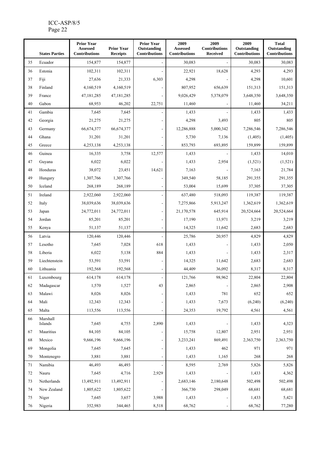#### ICC-ASP/8/5 Page 22

|    | <b>States Parties</b> | <b>Prior Year</b><br><b>Assessed</b><br><b>Contributions</b> | <b>Prior Year</b><br><b>Receipts</b> | <b>Prior Year</b><br>Outstanding<br><b>Contributions</b> | 2009<br>Assessed<br><b>Contributions</b> | 2009<br><b>Contributions</b><br><b>Received</b> | 2009<br>Outstanding<br><b>Contributions</b> | <b>Total</b><br>Outstanding<br><b>Contributions</b> |
|----|-----------------------|--------------------------------------------------------------|--------------------------------------|----------------------------------------------------------|------------------------------------------|-------------------------------------------------|---------------------------------------------|-----------------------------------------------------|
| 35 | Ecuador               | 154,877                                                      | 154,877                              |                                                          | 30,083                                   |                                                 | 30,083                                      | 30,083                                              |
| 36 | Estonia               | 102,311                                                      | 102,311                              |                                                          | 22,921                                   | 18,628                                          | 4,293                                       | 4,293                                               |
| 37 | Fiji                  | 27,636                                                       | 21,333                               | 6,303                                                    | 4,298                                    |                                                 | 4,298                                       | 10,601                                              |
| 38 | Finland               | 4,160,519                                                    | 4,160,519                            |                                                          | 807,952                                  | 656,639                                         | 151,313                                     | 151,313                                             |
| 39 | France                | 47,181,285                                                   | 47,181,285                           |                                                          | 9,026,429                                | 5,378,079                                       | 3,648,350                                   | 3,648,350                                           |
| 40 | Gabon                 | 68,953                                                       | 46,202                               | 22,751                                                   | 11,460                                   |                                                 | 11,460                                      | 34,211                                              |
| 41 | Gambia                | 7,645                                                        | 7,645                                |                                                          | 1,433                                    |                                                 | 1,433                                       | 1,433                                               |
| 42 | Georgia               | 21,275                                                       | 21,275                               |                                                          | 4,298                                    | 3,493                                           | 805                                         | 805                                                 |
| 43 | Germany               | 66,674,377                                                   | 66, 674, 377                         |                                                          | 12,286,888                               | 5,000,342                                       | 7,286,546                                   | 7,286,546                                           |
| 44 | Ghana                 | 31,201                                                       | 31,201                               |                                                          | 5,730                                    | 7,136                                           | (1,405)                                     | (1,405)                                             |
| 45 | Greece                | 4,253,138                                                    | 4,253,138                            |                                                          | 853,793                                  | 693,895                                         | 159.899                                     | 159,899                                             |
| 46 | Guinea                | 16,335                                                       | 3,758                                | 12,577                                                   | 1,433                                    |                                                 | 1,433                                       | 14,010                                              |
| 47 | Guyana                | 6,022                                                        | 6,022                                |                                                          | 1,433                                    | 2,954                                           | (1,521)                                     | (1,521)                                             |
| 48 | Honduras              | 38,072                                                       | 23,451                               | 14,621                                                   | 7,163                                    |                                                 | 7,163                                       | 21,784                                              |
| 49 | Hungary               | 1,307,766                                                    | 1,307,766                            |                                                          | 349,540                                  | 58,185                                          | 291,355                                     | 291,355                                             |
| 50 | Iceland               | 268,189                                                      | 268,189                              |                                                          | 53,004                                   | 15,699                                          | 37,305                                      | 37,305                                              |
| 51 | Ireland               | 2,922,060                                                    | 2,922,060                            |                                                          | 637,480                                  | 518,093                                         | 119,387                                     | 119,387                                             |
| 52 | Italy                 | 38,039,636                                                   | 38,039,636                           |                                                          | 7,275,866                                | 5,913,247                                       | 1,362,619                                   | 1,362,619                                           |
| 53 | Japan                 | 24,772,011                                                   | 24,772,011                           |                                                          | 21,170,578                               | 645,914                                         | 20,524,664                                  | 20,524,664                                          |
| 54 | Jordan                | 85,201                                                       | 85,201                               |                                                          | 17,190                                   | 13,971                                          | 3,219                                       | 3,219                                               |
| 55 | Kenya                 | 51,137                                                       | 51,137                               |                                                          | 14,325                                   | 11,642                                          | 2,683                                       | 2,683                                               |
| 56 | Latvia                | 120,446                                                      | 120,446                              |                                                          | 25,786                                   | 20,957                                          | 4,829                                       | 4,829                                               |
| 57 | Lesotho               | 7,645                                                        | 7,028                                | 618                                                      | 1,433                                    |                                                 | 1,433                                       | 2,050                                               |
| 58 | Liberia               | 6,022                                                        | 5,138                                | 884                                                      | 1,433                                    |                                                 | 1,433                                       | 2,317                                               |
| 59 | Liechtenstein         | 53,591                                                       | 53,591                               |                                                          | 14,325                                   | 11,642                                          | 2,683                                       | 2,683                                               |
| 60 | Lithuania             | 192,568                                                      | 192,568                              |                                                          | 44,409                                   | 36,092                                          | 8,317                                       | 8,317                                               |
| 61 | Luxembourg            | 614,178                                                      | 614,178                              |                                                          | 121,766                                  | 98,962                                          | 22,804                                      | 22,804                                              |
| 62 | Madagascar            | 1,570                                                        | 1,527                                | 43                                                       | 2,865                                    |                                                 | 2,865                                       | 2,908                                               |
| 63 | Malawi                | 8,026                                                        | 8,026                                |                                                          | 1,433                                    | 781                                             | 652                                         | 652                                                 |
| 64 | Mali                  | 12,343                                                       | 12,343                               |                                                          | 1,433                                    | 7,673                                           | (6,240)                                     | (6,240)                                             |
| 65 | Malta                 | 113,556                                                      | 113,556                              | $\overline{a}$                                           | 24,353                                   | 19,792                                          | 4,561                                       | 4,561                                               |
| 66 | Marshall<br>Islands   | 7,645                                                        | 4,755                                | 2,890                                                    | 1,433                                    |                                                 | 1,433                                       | 4,323                                               |
| 67 | Mauritius             | 84,105                                                       | 84,105                               |                                                          | 15,758                                   | 12,807                                          | 2,951                                       | 2,951                                               |
| 68 | Mexico                | 9,666,196                                                    | 9,666,196                            |                                                          | 3,233,241                                | 869,491                                         | 2,363,750                                   | 2,363,750                                           |
| 69 | Mongolia              | 7,645                                                        | 7,645                                |                                                          | 1,433                                    | 462                                             | 971                                         | 971                                                 |
| 70 | Montenegro            | 3,881                                                        | 3,881                                |                                                          | 1,433                                    | 1,165                                           | 268                                         | 268                                                 |
| 71 | Namibia               | 46,493                                                       | 46,493                               |                                                          | 8,595                                    | 2,769                                           | 5,826                                       | 5,826                                               |
| 72 | Nauru                 | 7,645                                                        | 4,716                                | 2,929                                                    | 1,433                                    |                                                 | 1,433                                       | 4,362                                               |
| 73 | Netherlands           | 13,492,911                                                   | 13,492,911                           |                                                          | 2,683,146                                | 2,180,648                                       | 502,498                                     | 502,498                                             |
| 74 | New Zealand           | 1,805,622                                                    | 1,805,622                            |                                                          | 366,730                                  | 298,049                                         | 68,681                                      | 68,681                                              |
| 75 | Niger                 | 7,645                                                        | 3,657                                | 3,988                                                    | 1,433                                    |                                                 | 1,433                                       | 5,421                                               |
| 76 | Nigeria               | 352,983                                                      | 344,465                              | 8,518                                                    | 68,762                                   |                                                 | 68,762                                      | 77,280                                              |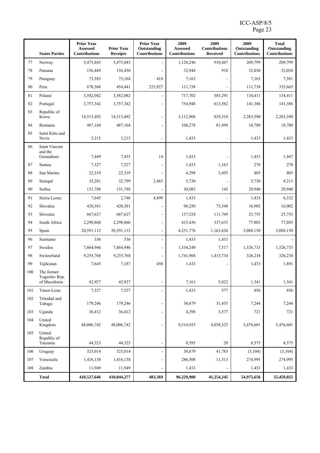|     | <b>States Parties</b>                       | <b>Prior Year</b><br><b>Assessed</b><br><b>Contributions</b> | <b>Prior Year</b><br><b>Receipts</b> | <b>Prior Year</b><br>Outstanding<br><b>Contributions</b> | 2009<br><b>Assessed</b><br><b>Contributions</b> | 2009<br><b>Contributions</b><br><b>Received</b> | 2009<br>Outstanding<br><b>Contributions</b> | <b>Total</b><br>Outstanding<br><b>Contributions</b> |
|-----|---------------------------------------------|--------------------------------------------------------------|--------------------------------------|----------------------------------------------------------|-------------------------------------------------|-------------------------------------------------|---------------------------------------------|-----------------------------------------------------|
| 77  | Norway                                      | 5,475,843                                                    | 5,475,843                            |                                                          | 1,120,246                                       | 910,447                                         | 209,799                                     | 209,799                                             |
| 78  | Panama                                      | 156,449                                                      | 156,450                              |                                                          | 32,948                                          | 918                                             | 32,030                                      | 32,030                                              |
| 79  | Paraguay                                    | 73,583                                                       | 73,164                               | 418                                                      | 7,163                                           |                                                 | 7,163                                       | 7,581                                               |
| 80  | Peru                                        | 678,368                                                      | 454,441                              | 223,927                                                  | 111,738                                         |                                                 | 111,738                                     | 335,665                                             |
| 81  | Poland                                      | 3,582,082                                                    | 3,582,082                            |                                                          | 717,702                                         | 583,291                                         | 134,411                                     | 134,411                                             |
| 82  | Portugal                                    | 3,757,342                                                    | 3,757,342                            |                                                          | 754,948                                         | 613,562                                         | 141,386                                     | 141,386                                             |
| 83  | Republic of<br>Korea                        | 14,513,492                                                   | 14,513,492                           |                                                          | 3,112,908                                       | 829,318                                         | 2,283,590                                   | 2,283,590                                           |
| 84  | Romania                                     | 487,164                                                      | 487,164                              | $\overline{a}$                                           | 100,278                                         | 81,498                                          | 18,780                                      | 18,780                                              |
| 85  | Saint Kitts and<br>Nevis                    | 3,215                                                        | 3,215                                |                                                          | 1,433                                           |                                                 | 1,433                                       | 1,433                                               |
| 86  | Saint Vincent                               |                                                              |                                      |                                                          |                                                 |                                                 |                                             |                                                     |
|     | and the<br>Grenadines                       | 7,449                                                        | 7,435                                | 14                                                       | 1,433                                           |                                                 | 1,433                                       | 1,447                                               |
| 87  | Samoa                                       | 7,527                                                        | 7,527                                |                                                          | 1,433                                           | 1,163                                           | 270                                         | 270                                                 |
| 88  | San Marino                                  | 22,319                                                       | 22,319                               |                                                          | 4,298                                           | 3,493                                           | 805                                         | 805                                                 |
| 89  | Senegal                                     | 35,281                                                       | 32,799                               | 2,483                                                    | 5,730                                           |                                                 | 5,730                                       | 8,213                                               |
| 90  | Serbia                                      | 151,788                                                      | 151,788                              |                                                          | 30,083                                          | 143                                             | 29,940                                      | 29,940                                              |
| 91  | Sierra Leone                                | 7,645                                                        | 2,746                                | 4,899                                                    | 1,433                                           |                                                 | 1,433                                       | 6,332                                               |
| 92  | Slovakia                                    | 420,381                                                      | 420,381                              |                                                          | 90,250                                          | 73,348                                          | 16,902                                      | 16,902                                              |
| 93  | Slovenia                                    | 667,627                                                      | 667,627                              | $\blacksquare$                                           | 137,524                                         | 111,769                                         | 25,755                                      | 25,755                                              |
| 94  | South Africa                                | 2,298,860                                                    | 2,298,860                            | $\overline{a}$                                           | 415,436                                         | 337,633                                         | 77,803                                      | 77,803                                              |
| 95  | Spain                                       | 20,591,112                                                   | 20,591,112                           | L,                                                       | 4,251,776                                       | 1,163,626                                       | 3,088,150                                   | 3,088,150                                           |
| 96  | Suriname                                    | 336                                                          | 336                                  |                                                          | 1,433                                           | 1,433                                           |                                             |                                                     |
| 97  | Sweden                                      | 7,864,946                                                    | 7,864,946                            | $\overline{a}$                                           | 1,534,249                                       | 7,517                                           | 1,526,733                                   | 1,526,733                                           |
| 98  | Switzerland                                 | 9,255,768                                                    | 9,255,768                            |                                                          | 1,741,968                                       | 1,415,734                                       | 326,234                                     | 326,234                                             |
| 99  | Tajikistan                                  | 7,645                                                        | 7,187                                | 458                                                      | 1,433                                           |                                                 | 1,433                                       | 1,891                                               |
| 100 | The former<br>Yugoslav Rep.<br>of Macedonia | 42,927                                                       | 42,927                               | $\overline{a}$                                           | 7,163                                           | 5,822                                           | 1,341                                       | 1,341                                               |
| 101 | Timor-Leste                                 | 7,527                                                        | 7,527                                |                                                          | 1,433                                           | 577                                             | 856                                         | 856                                                 |
| 102 | Trinidad and                                |                                                              |                                      |                                                          |                                                 |                                                 |                                             |                                                     |
|     | Tobago                                      | 179,246                                                      | 179,246                              |                                                          | 38,679                                          | 31,435                                          | 7,244                                       | 7,244                                               |
| 103 | Uganda                                      | 36,412                                                       | 36,412                               | $\overline{a}$                                           | 4,298                                           | 3,577                                           | 721                                         | 721                                                 |
| 104 | United<br>Kingdom                           | 48,006,742                                                   | 48,006,742                           |                                                          | 9,514,925                                       | 4,038,325                                       | 5,476,601                                   | 5,476,601                                           |
| 105 | United<br>Republic of                       |                                                              |                                      |                                                          |                                                 |                                                 |                                             |                                                     |
|     | Tanzania                                    | 44,323                                                       | 44,323                               |                                                          | 8,595                                           | 20                                              | 8,575                                       | 8,575                                               |
| 106 | Uruguay                                     | 325,014                                                      | 325,014                              |                                                          | 38,679                                          | 41,783                                          | (3,104)                                     | (3,104)                                             |
| 107 | Venezuela                                   | 1,416,138                                                    | 1,416,138                            |                                                          | 286,508                                         | 11,513                                          | 274,995                                     | 274,995                                             |
| 108 | Zambia                                      | 11,949                                                       | 11,949                               |                                                          | 1,433                                           |                                                 | 1,433                                       | 1,433                                               |
|     | <b>Total</b>                                | 410,527,646                                                  | 410,044,277                          | 483,369                                                  | 96,229,900                                      | 41,254,245                                      | 54,975,656                                  | 55,459,025                                          |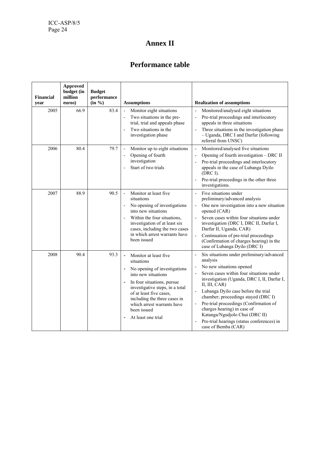# **Annex II**

# **Performance table**

| <b>Financial</b><br>year | <b>Approved</b><br>budget (in<br>million<br>euros) | <b>Budget</b><br>performance<br>(in %) | <b>Assumptions</b>                                                                                                                                                                                                                                                                                                    | <b>Realization of assumptions</b>                                                                                                                                                                                                                                                                                                                                                                                                                                                                                       |
|--------------------------|----------------------------------------------------|----------------------------------------|-----------------------------------------------------------------------------------------------------------------------------------------------------------------------------------------------------------------------------------------------------------------------------------------------------------------------|-------------------------------------------------------------------------------------------------------------------------------------------------------------------------------------------------------------------------------------------------------------------------------------------------------------------------------------------------------------------------------------------------------------------------------------------------------------------------------------------------------------------------|
| 2005                     | 66.9                                               | 83.4                                   | Monitor eight situations<br>$\overline{\phantom{a}}$<br>Two situations in the pre-<br>trial, trial and appeals phase<br>Two situations in the<br>investigation phase                                                                                                                                                  | Monitored/analysed eight situations<br>$\overline{a}$<br>Pre-trial proceedings and interlocutory<br>$\overline{a}$<br>appeals in three situations<br>Three situations in the investigation phase<br>$\overline{a}$<br>- Uganda, DRC I and Darfur (following<br>referral from UNSC)                                                                                                                                                                                                                                      |
| 2006                     | 80.4                                               | 79.7                                   | Monitor up to eight situations<br>$\overline{\phantom{a}}$<br>Opening of fourth<br>investigation<br>Start of two trials                                                                                                                                                                                               | Monitored/analysed five situations<br>$\overline{\phantom{a}}$<br>Opening of fourth investigation - DRC II<br>$\overline{\phantom{a}}$<br>Pre-trial proceedings and interlocutory<br>appeals in the case of Lubanga Dyilo<br>(DRC I).<br>Pre-trial proceedings in the other three<br>investigations.                                                                                                                                                                                                                    |
| 2007                     | 88.9                                               | 90.5                                   | Monitor at least five<br>$\blacksquare$<br>situations<br>No opening of investigations<br>into new situations<br>Within the four situations,<br>investigation of at least six<br>cases, including the two cases<br>in which arrest warrants have<br>been issued                                                        | Five situations under<br>÷,<br>preliminary/advanced analysis<br>One new investigation into a new situation<br>opened (CAR)<br>Seven cases within four situations under<br>investigation (DRC I, DRC II, Darfur I,<br>Darfur II, Uganda, CAR)<br>Continuation of pre-trial proceedings<br>$\overline{a}$<br>(Confirmation of charges hearing) in the<br>case of Lubanga Dyilo (DRC I)                                                                                                                                    |
| 2008                     | 90.4                                               | 93.3                                   | Monitor at least five<br>$\overline{\phantom{0}}$<br>situations<br>No opening of investigations<br>into new situations<br>In four situations, pursue<br>investigative steps, in a total<br>of at least five cases,<br>including the three cases in<br>which arrest warrants have<br>been issued<br>At least one trial | Six situations under preliminary/advanced<br>$\overline{a}$<br>analysis<br>No new situations opened<br>Ĭ.<br>Seven cases within four situations under<br>$\overline{a}$<br>investigation (Uganda, DRC I, II, Darfur I,<br>II, III, CAR)<br>Lubanga Dyilo case before the trial<br>chamber; proceedings stayed (DRC I)<br>Pre-trial proceedings (Confirmation of<br>$\overline{a}$<br>charges hearing) in case of<br>Katanga/Ngudjolo Chui (DRC II)<br>Pre-trial hearings (status conferences) in<br>case of Bemba (CAR) |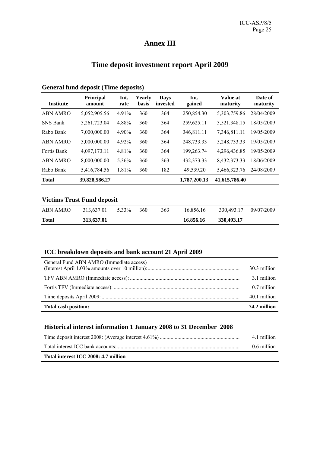# **Annex III**

# **Time deposit investment report April 2009**

| <b>Institute</b>   | <b>Principal</b><br>amount | Int.<br>rate | Yearly<br><b>basis</b> | <b>Days</b><br>invested | Int.<br>gained | Value at<br>maturity | Date of<br>maturity |
|--------------------|----------------------------|--------------|------------------------|-------------------------|----------------|----------------------|---------------------|
| <b>ABN AMRO</b>    | 5,052,905.56               | 4.91%        | 360                    | 364                     | 250,854.30     | 5,303,759.86         | 28/04/2009          |
| <b>SNS Bank</b>    | 5, 261, 723.04             | 4.88%        | 360                    | 364                     | 259,625.11     | 5,521,348.15         | 18/05/2009          |
| Rabo Bank          | 7,000,000.00               | 4.90%        | 360                    | 364                     | 346,811.11     | 7,346,811.11         | 19/05/2009          |
| ABN AMRO           | 5,000,000.00               | 4.92%        | 360                    | 364                     | 248,733.33     | 5,248,733.33         | 19/05/2009          |
| <b>Fortis Bank</b> | 4,097,173.11               | 4.81%        | 360                    | 364                     | 199,263.74     | 4,296,436.85         | 19/05/2009          |
| ABN AMRO           | 8,000,000.00               | 5.36%        | 360                    | 363                     | 432, 373. 33   | 8,432,373.33         | 18/06/2009          |
| Rabo Bank          | 5,416,784.56               | 1.81%        | 360                    | 182                     | 49,539.20      | 5,466,323.76         | 24/08/2009          |
| <b>Total</b>       | 39,828,586.27              |              |                        |                         | 1,787,200.13   | 41,615,786.40        |                     |

# **General fund deposit (Time deposits)**

## **Victims Trust Fund deposit**

| <b>Total</b> | 313,637.01 |       |     |     | 16,856.16 | 330,493.17            |  |
|--------------|------------|-------|-----|-----|-----------|-----------------------|--|
| ABN AMRO     | 313,637.01 | 5.33% | 360 | 363 | 16.856.16 | 330,493.17 09/07/2009 |  |

## **ICC breakdown deposits and bank account 21 April 2009**

| Total cash position:                     | 74.2 million |
|------------------------------------------|--------------|
|                                          | 40.1 million |
|                                          | 0.7 million  |
|                                          | 3.1 million  |
|                                          | 30.3 million |
| General Fund ABN AMRO (Immediate access) |              |

#### **Historical interest information 1 January 2008 to 31 December 2008**

| Total interest ICC 2008: 4.7 million |             |
|--------------------------------------|-------------|
|                                      | 0.6 million |
|                                      | 4.1 million |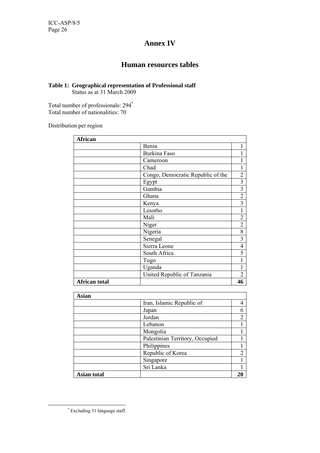# **Annex IV**

# **Human resources tables**

#### **Table 1: Geographical representation of Professional staff**  Status as at 31 March 2009

Total number of professionals: 294\* Total number of nationalities: 70

Distribution per region

| African              |                                   |                         |
|----------------------|-----------------------------------|-------------------------|
|                      | Benin                             |                         |
|                      | <b>Burkina Faso</b>               |                         |
|                      | Cameroon                          |                         |
|                      | Chad                              |                         |
|                      | Congo, Democratic Republic of the | 2                       |
|                      | Egypt                             | $\overline{\mathbf{3}}$ |
|                      | Gambia                            | $\overline{\mathbf{3}}$ |
|                      | Ghana                             | $\overline{c}$          |
|                      | Kenya                             | $\overline{3}$          |
|                      | Lesotho                           | 1                       |
|                      | Mali                              | $\overline{2}$          |
|                      | Niger                             | $\overline{2}$          |
|                      | Nigeria                           | 8                       |
|                      | Senegal                           | $\overline{\mathbf{3}}$ |
|                      | Sierra Leone                      | $\overline{\mathbf{4}}$ |
|                      | South Africa                      | 5                       |
|                      | Togo                              | 1                       |
|                      | Uganda                            |                         |
|                      | United Republic of Tanzania       | $\overline{2}$          |
| <b>African total</b> |                                   | 46                      |

| <b>Asian</b>       |                                 |    |
|--------------------|---------------------------------|----|
|                    | Iran, Islamic Republic of       |    |
|                    | Japan                           |    |
|                    | Jordan                          |    |
|                    | Lebanon                         |    |
|                    | Mongolia                        |    |
|                    | Palestinian Territory, Occupied |    |
|                    | Philippines                     |    |
|                    | Republic of Korea               | ↑  |
|                    | Singapore                       |    |
|                    | Sri Lanka                       |    |
| <b>Asian total</b> |                                 | 21 |

 <sup>\*</sup> Excluding 31 language staff.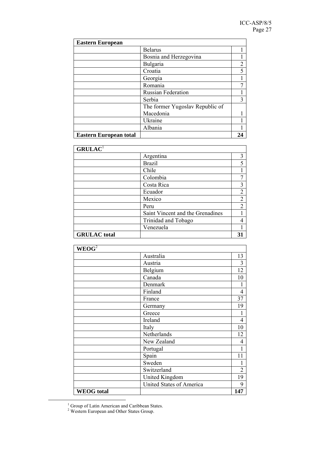| <b>Eastern European</b>       |                                 |   |
|-------------------------------|---------------------------------|---|
|                               | <b>Belarus</b>                  |   |
|                               | Bosnia and Herzegovina          |   |
|                               | Bulgaria                        | 2 |
|                               | Croatia                         |   |
|                               | Georgia                         |   |
|                               | Romania                         |   |
|                               | <b>Russian Federation</b>       |   |
|                               | Serbia                          | 3 |
|                               | The former Yugoslav Republic of |   |
|                               | Macedonia                       |   |
|                               | Ukraine                         |   |
|                               | Albania                         |   |
| <b>Eastern European total</b> |                                 |   |

| GRULAC <sup>1</sup> |                                  |    |
|---------------------|----------------------------------|----|
|                     | Argentina                        | 3  |
|                     | <b>Brazil</b>                    | 5  |
|                     | Chile                            |    |
|                     | Colombia                         |    |
|                     | Costa Rica                       | 3  |
|                     | Ecuador                          | 2  |
|                     | Mexico                           | 2  |
|                     | Peru                             | 2  |
|                     | Saint Vincent and the Grenadines |    |
|                     | Trinidad and Tobago              | 4  |
|                     | Venezuela                        |    |
| <b>GRULAC</b> total |                                  | 31 |

| WEOG <sup>2</sup> |                                 |                |
|-------------------|---------------------------------|----------------|
|                   | Australia                       | 13             |
|                   | Austria                         | 3              |
|                   | Belgium                         | 12             |
|                   | Canada                          | 10             |
|                   | Denmark                         | 1              |
|                   | Finland                         | $\overline{4}$ |
|                   | France                          | 37             |
|                   | Germany                         | 19             |
|                   | Greece                          | 1              |
|                   | Ireland                         | $\overline{4}$ |
|                   | Italy                           | 10             |
|                   | Netherlands                     | 12             |
|                   | New Zealand                     | $\overline{4}$ |
|                   | Portugal                        | 1              |
|                   | Spain                           | 11             |
|                   | Sweden                          |                |
|                   | Switzerland                     | $\overline{2}$ |
|                   | <b>United Kingdom</b>           | 19             |
|                   | <b>United States of America</b> | 9              |
| <b>WEOG</b> total |                                 | 147            |

 $\frac{1}{1}$ 

<sup>&</sup>lt;sup>1</sup> Group of Latin American and Caribbean States.<br><sup>2</sup> Western European and Other States Group.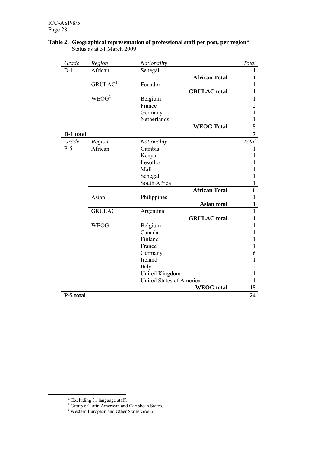| Grade     | Region              | Nationality              | Total                   |
|-----------|---------------------|--------------------------|-------------------------|
| $D-1$     | African             | Senegal                  | 1                       |
|           |                     | <b>African Total</b>     | $\overline{\mathbf{1}}$ |
|           | GRULAC <sup>1</sup> | Ecuador                  | $\overline{1}$          |
|           |                     | <b>GRULAC</b> total      | $\mathbf{1}$            |
|           | $WEO\overline{G^2}$ | Belgium                  | $\mathbf{1}$            |
|           |                     | France                   | $\overline{2}$          |
|           |                     | Germany                  | 1                       |
|           |                     | Netherlands              | $\mathbf{1}$            |
|           |                     | <b>WEOG Total</b>        | $\overline{\mathbf{5}}$ |
| D-1 total |                     |                          | $\overline{7}$          |
| Grade     | Region              | Nationality              | Total                   |
| $P-5$     | African             | Gambia                   | 1                       |
|           |                     | Kenya                    | 1                       |
|           |                     | Lesotho                  |                         |
|           |                     | Mali                     |                         |
|           |                     | Senegal                  | 1                       |
|           |                     | South Africa             | 1                       |
|           |                     | <b>African Total</b>     | 6                       |
|           | Asian               | Philippines              | $\mathbf{1}$            |
|           |                     | Asian total              | 1                       |
|           | <b>GRULAC</b>       | Argentina                | $\overline{1}$          |
|           |                     | <b>GRULAC</b> total      | $\overline{\mathbf{1}}$ |
|           | <b>WEOG</b>         | Belgium                  | $\mathbf{1}$            |
|           |                     | Canada                   | 1                       |
|           |                     | Finland                  | 1                       |
|           |                     | France                   | 1                       |
|           |                     | Germany                  | 6                       |
|           |                     | Ireland                  | 1                       |
|           |                     | Italy                    | $\overline{2}$          |
|           |                     | <b>United Kingdom</b>    | 1                       |
|           |                     | United States of America | 1                       |
|           |                     | <b>WEOG</b> total        | 15                      |
| P-5 total |                     |                          | 24                      |

#### **Table 2: Geographical representation of professional staff per post, per region**\* Status as at 31 March 2009

 <sup>\*</sup> Excluding 31 language staff. 1 Group of Latin American and Caribbean States. 2 Western European and Other States Group.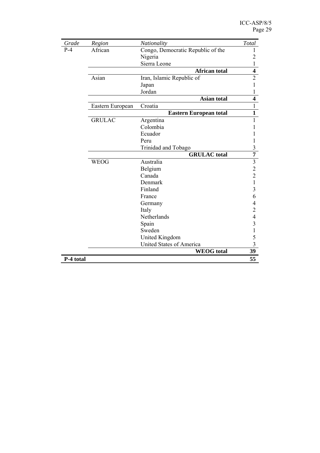| Grade     | Region           | Nationality                       | Total                   |
|-----------|------------------|-----------------------------------|-------------------------|
| $P-4$     | African          | Congo, Democratic Republic of the | 1                       |
|           |                  | Nigeria                           | $\overline{2}$          |
|           |                  | Sierra Leone                      | $\mathbf{1}$            |
|           |                  | <b>African total</b>              | $\overline{\mathbf{4}}$ |
|           | Asian            | Iran, Islamic Republic of         | $\overline{2}$          |
|           |                  | Japan                             | 1                       |
|           |                  | Jordan                            | 1                       |
|           |                  | <b>Asian total</b>                | $\overline{\mathbf{4}}$ |
|           | Eastern European | Croatia                           | $\mathbf{1}$            |
|           |                  | <b>Eastern European total</b>     | $\mathbf{1}$            |
|           | <b>GRULAC</b>    | Argentina                         | 1                       |
|           |                  | Colombia                          | 1                       |
|           |                  | Ecuador                           | 1                       |
|           |                  | Peru                              | 1                       |
|           |                  | Trinidad and Tobago               | 3                       |
|           |                  | <b>GRULAC</b> total               | $\overline{7}$          |
|           | <b>WEOG</b>      | Australia                         | $\overline{\mathbf{3}}$ |
|           |                  | Belgium                           | $\overline{c}$          |
|           |                  | Canada                            | $\overline{2}$          |
|           |                  | Denmark                           | $\mathbf{1}$            |
|           |                  | Finland                           | $\overline{\mathbf{3}}$ |
|           |                  | France                            | 6                       |
|           |                  | Germany                           | 4                       |
|           |                  | Italy                             | $\overline{2}$          |
|           |                  | Netherlands                       | $\overline{4}$          |
|           |                  | Spain                             | $\overline{3}$          |
|           |                  | Sweden                            | $\mathbf{1}$            |
|           |                  | United Kingdom                    | 5                       |
|           |                  | <b>United States of America</b>   | $\overline{3}$          |
|           |                  | <b>WEOG</b> total                 | 39                      |
| P-4 total |                  |                                   | 55                      |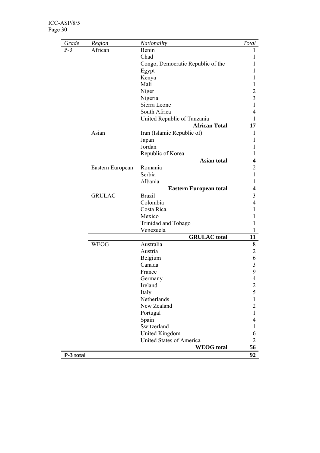| Grade     | Region           | Nationality                       | Total                    |
|-----------|------------------|-----------------------------------|--------------------------|
| $P-3$     | African          | Benin                             |                          |
|           |                  | Chad                              |                          |
|           |                  | Congo, Democratic Republic of the |                          |
|           |                  | Egypt                             |                          |
|           |                  | Kenya                             |                          |
|           |                  | Mali                              |                          |
|           |                  | Niger                             | $\overline{c}$           |
|           |                  | Nigeria                           | 3                        |
|           |                  | Sierra Leone                      | 1                        |
|           |                  | South Africa                      | 4                        |
|           |                  | United Republic of Tanzania       | $\mathbf{1}$             |
|           |                  | <b>African Total</b>              | 17                       |
|           | Asian            | Iran (Islamic Republic of)        | 1                        |
|           |                  | Japan                             |                          |
|           |                  | Jordan                            | 1                        |
|           |                  | Republic of Korea                 | 1                        |
|           |                  | Asian total                       | $\overline{\mathbf{4}}$  |
|           | Eastern European | Romania                           | $\overline{2}$           |
|           |                  | Serbia                            | $\mathbf{1}$             |
|           |                  | Albania                           | $\mathbf{1}$             |
|           |                  | <b>Eastern European total</b>     | $\overline{\mathbf{4}}$  |
|           | <b>GRULAC</b>    | <b>Brazil</b>                     | 3                        |
|           |                  | Colombia                          | $\overline{4}$           |
|           |                  | Costa Rica                        | 1                        |
|           |                  | Mexico                            | L                        |
|           |                  | Trinidad and Tobago               | 1                        |
|           |                  | Venezuela                         | 1                        |
|           |                  | <b>GRULAC</b> total               | 11                       |
|           | <b>WEOG</b>      | Australia                         | 8                        |
|           |                  | Austria                           | $\overline{2}$           |
|           |                  | Belgium                           | 6                        |
|           |                  | Canada                            | $\mathfrak{Z}$           |
|           |                  | France                            | 9                        |
|           |                  | Germany                           | $\overline{\mathcal{A}}$ |
|           |                  | Ireland                           | $\overline{c}$           |
|           |                  | Italy                             | 5                        |
|           |                  | Netherlands                       | 1                        |
|           |                  | New Zealand                       | $\overline{2}$           |
|           |                  | Portugal                          | $\mathbf{1}$             |
|           |                  | Spain                             | 4                        |
|           |                  | Switzerland                       | 1                        |
|           |                  | <b>United Kingdom</b>             | 6                        |
|           |                  | <b>United States of America</b>   | $\overline{2}$           |
|           |                  | <b>WEOG</b> total                 | 56                       |
| P-3 total |                  |                                   | 92                       |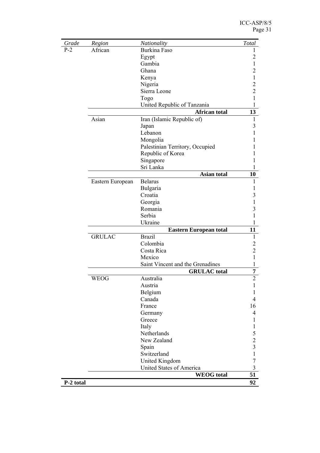| Grade     | Region           | Nationality                      | Total          |
|-----------|------------------|----------------------------------|----------------|
| $P-2$     | African          | Burkina Faso                     | 1              |
|           |                  | Egypt                            | 2              |
|           |                  | Gambia                           |                |
|           |                  | Ghana                            | $\overline{c}$ |
|           |                  | Kenya                            | 1              |
|           |                  | Nigeria                          | $\overline{c}$ |
|           |                  | Sierra Leone                     | $\overline{c}$ |
|           |                  | Togo                             | 1              |
|           |                  | United Republic of Tanzania      | 1              |
|           |                  | African total                    | 13             |
|           | Asian            | Iran (Islamic Republic of)       | 1              |
|           |                  | Japan                            | 3              |
|           |                  | Lebanon                          |                |
|           |                  | Mongolia                         |                |
|           |                  | Palestinian Territory, Occupied  |                |
|           |                  | Republic of Korea                |                |
|           |                  | Singapore                        |                |
|           |                  | Sri Lanka                        |                |
|           |                  | <b>Asian total</b>               | 10             |
|           | Eastern European | <b>Belarus</b>                   |                |
|           |                  | Bulgaria                         |                |
|           |                  | Croatia                          | 3              |
|           |                  | Georgia                          | 1              |
|           |                  | Romania                          | 3              |
|           |                  | Serbia                           |                |
|           |                  | Ukraine                          | 1              |
|           |                  | <b>Eastern European total</b>    | 11             |
|           | <b>GRULAC</b>    | <b>Brazil</b>                    | 1              |
|           |                  | Colombia                         | $\overline{c}$ |
|           |                  | Costa Rica                       | $\overline{c}$ |
|           |                  | Mexico                           | 1              |
|           |                  | Saint Vincent and the Grenadines | 1              |
|           |                  | <b>GRULAC</b> total              | 7              |
|           | <b>WEOG</b>      | Australia                        | $\overline{c}$ |
|           |                  | Austria                          | 1              |
|           |                  | Belgium                          | 1              |
|           |                  | Canada                           | 4              |
|           |                  | France                           | 16             |
|           |                  | Germany                          | 4              |
|           |                  | Greece                           | 1              |
|           |                  | Italy                            | 1              |
|           |                  | Netherlands                      | 5              |
|           |                  | New Zealand                      | $\overline{2}$ |
|           |                  | Spain                            | 3              |
|           |                  | Switzerland                      | 1              |
|           |                  | <b>United Kingdom</b>            | $\overline{7}$ |
|           |                  | United States of America         | $\mathfrak{Z}$ |
|           |                  | <b>WEOG</b> total                | 51             |
| P-2 total |                  |                                  | 92             |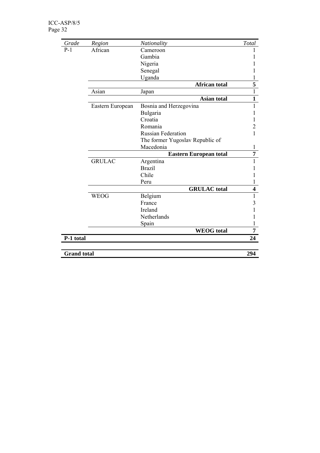| Grade              | Region           | Nationality                     | Total                   |  |  |
|--------------------|------------------|---------------------------------|-------------------------|--|--|
| $P-1$              | African          | Cameroon                        |                         |  |  |
|                    |                  | Gambia                          |                         |  |  |
|                    |                  | Nigeria                         |                         |  |  |
|                    |                  | Senegal                         |                         |  |  |
|                    |                  | Uganda                          | 1                       |  |  |
|                    |                  | <b>African total</b>            | 5                       |  |  |
|                    | Asian            | Japan                           | $\overline{1}$          |  |  |
|                    |                  | <b>Asian total</b>              | $\overline{1}$          |  |  |
|                    | Eastern European | Bosnia and Herzegovina          | $\mathbf{1}$            |  |  |
|                    |                  | Bulgaria                        |                         |  |  |
|                    |                  | Croatia                         |                         |  |  |
|                    |                  | Romania                         | $\overline{c}$          |  |  |
|                    |                  | <b>Russian Federation</b>       | 1                       |  |  |
|                    |                  | The former Yugoslav Republic of |                         |  |  |
|                    |                  | Macedonia                       | 1                       |  |  |
|                    |                  | <b>Eastern European total</b>   |                         |  |  |
|                    | <b>GRULAC</b>    | Argentina                       | $\mathbf{1}$            |  |  |
|                    |                  | <b>Brazil</b>                   |                         |  |  |
|                    |                  | Chile                           |                         |  |  |
|                    |                  | Peru                            | 1                       |  |  |
|                    |                  | <b>GRULAC</b> total             | $\overline{\mathbf{4}}$ |  |  |
|                    | <b>WEOG</b>      | Belgium                         | $\mathbf{1}$            |  |  |
|                    |                  | France                          | 3                       |  |  |
|                    |                  | Ireland                         |                         |  |  |
|                    |                  | Netherlands                     | 1                       |  |  |
|                    |                  | Spain                           | 1                       |  |  |
|                    |                  | <b>WEOG</b> total               | $\overline{7}$          |  |  |
| P-1 total          |                  |                                 | 24                      |  |  |
|                    |                  |                                 |                         |  |  |
| <b>Grand</b> total |                  |                                 | 294                     |  |  |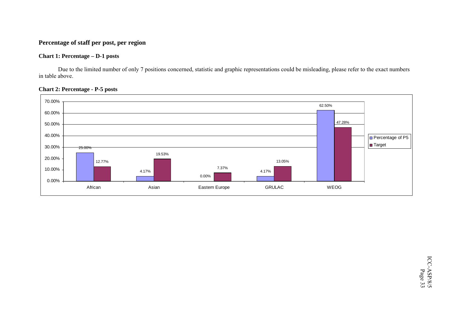### **Percentage of staff per post, per region**

#### **Chart 1: Percentage – D-1 posts**

Due to the limited number of only 7 positions concerned, statistic and graphic representations could be misleading, please refer to the exact numbers in table above.



#### **Chart 2: Percentage - P-5 posts**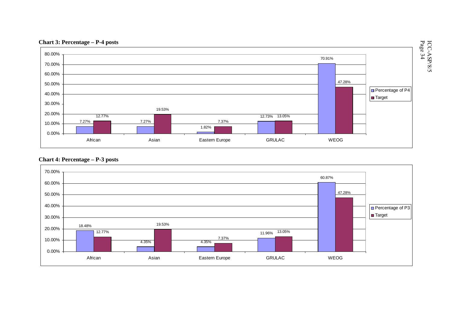

# **Chart 4: Percentage – P-3 posts**

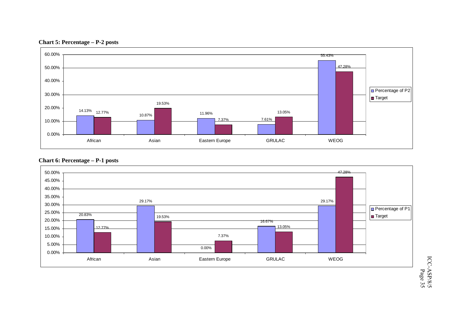



### **Chart 6: Percentage – P-1 posts**



ICC-ASP/8/5 ICC-ASP/8/5<br>Page 35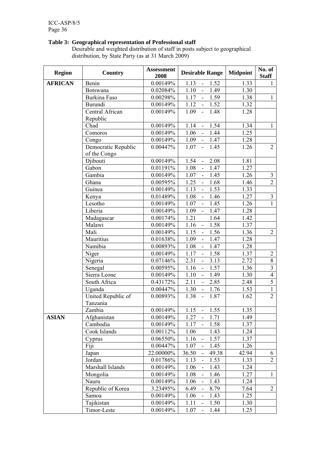#### **Table 3: Geographical representation of Professional staff**

Desirable and weighted distribution of staff in posts subject to geographical distribution, by State Party (as at 31 March 2009)

| <b>Region</b>  | Country                             | <b>Assessment</b><br>2008 | <b>Desirable Range</b>                       | <b>Midpoint</b> | No. of<br><b>Staff</b>  |
|----------------|-------------------------------------|---------------------------|----------------------------------------------|-----------------|-------------------------|
| <b>AFRICAN</b> | Benin                               | 0.00149%                  | 1.13<br>1.52<br>$\blacksquare$               | 1.33            | 1                       |
|                | <b>Botswana</b>                     | 0.02084%                  | 1.10<br>1.49<br>$\Box$                       | 1.30            |                         |
|                | Burkina Faso                        | 0.00298%                  | 1.17<br>1.59                                 | 1.38            | $\mathbf{1}$            |
|                | Burundi                             | 0.00149%                  | 1.52<br>1.12<br>$\mathbf{r}$                 | 1.32            |                         |
|                | Central African                     | 0.00149%                  | 1.09<br>1.48<br>÷,                           | 1.28            |                         |
|                | Republic                            |                           |                                              |                 |                         |
|                | Chad                                | 0.00149%                  | 1.14<br>1.54<br>$\blacksquare$               | 1.34            | $\mathbf{1}$            |
|                | Comoros                             | 0.00149%                  | 1.06<br>1.44                                 | 1.25            |                         |
|                | Congo                               | 0.00149%                  | 1.09<br>$\mathbb{L}^{\mathbb{N}}$<br>1.47    | 1.28            |                         |
|                | Democratic Republic<br>of the Congo | 0.00447%                  | 1.07<br>1.45<br>$\overline{\phantom{a}}$     | 1.26            | $\overline{2}$          |
|                | Djibouti                            | 0.00149%                  | 1.54<br>2.08<br>$\blacksquare$               | 1.81            |                         |
|                | Gabon                               | 0.01191%                  | 1.08<br>1.47<br>$\Box$                       | 1.27            |                         |
|                | Gambia                              | 0.00149%                  | 1.07<br>$\Box$<br>1.45                       | 1.26            | $\mathfrak{Z}$          |
|                | Ghana                               | 0.00595%                  | 1.25<br>1.68<br>$\blacksquare$               | 1.46            | $\overline{2}$          |
|                | Guinea                              | 0.00149%                  | 1.53<br>1.13<br>$\overline{\phantom{a}}$     | 1.33            |                         |
|                | Kenya                               | 0.01489%                  | 1.08<br>1.46<br>$\blacksquare$               | 1.27            | $\mathfrak{Z}$          |
|                | Lesotho                             | 0.00149%                  | 1.07<br>1.45                                 | 1.26            | $\mathbf{1}$            |
|                | Liberia                             | 0.00149%                  | $\Box$<br>1.47<br>1.09                       | 1.28            |                         |
|                | Madagascar                          | 0.00174%                  | 1.21<br>1.64                                 | 1.42            |                         |
|                | Malawi                              | 0.00149%                  | 1.16<br>1.58<br>$\blacksquare$               | 1.37            |                         |
|                | Mali                                | 0.00149%                  | 1.15<br>1.56<br>$\blacksquare$               | 1.36            | $\overline{2}$          |
|                | Mauritius                           | 0.01638%                  | 1.09<br>1.47                                 | 1.28            |                         |
|                | Namibia                             | 0.00893%                  | 1.47<br>1.08<br>$\blacksquare$               | 1.28            |                         |
|                | Niger                               | 0.00149%                  | 1.17<br>1.58                                 | 1.37            | $\overline{2}$          |
|                | Nigeria                             | 0.07146%                  | 2.31<br>3.13<br>$\overline{\phantom{a}}$     | 2.72            | $\overline{8}$          |
|                | Senegal                             | 0.00595%                  | 1.16<br>1.57<br>$\Box$                       | 1.36            | $\overline{\mathbf{3}}$ |
|                | Sierra Leone                        | 0.00149%                  | 1.10<br>1.49                                 | 1.30            | $\overline{4}$          |
|                | South Africa                        | 0.43172%                  | 2.11<br>2.85<br>$\overline{a}$               | 2.48            | 5                       |
|                | Uganda                              | $0.00447\%$               | 1.30<br>1.76<br>$\blacksquare$               | 1.53            | $\mathbf{1}$            |
|                | United Republic of<br>Tanzania      | 0.00893%                  | 1.87<br>1.38<br>$\Box$                       | 1.62            | $\overline{2}$          |
|                | Zambia                              | 0.00149%                  | 1.15<br>1.55                                 | 1.35            |                         |
| <b>ASIAN</b>   | Afghanistan                         | 0.00149%                  | 1.27<br>1.71<br>$\overline{a}$               | 1.49            |                         |
|                | Cambodia                            | 0.00149%                  | 1.17<br>1.58                                 | 1.37            |                         |
|                | Cook Islands                        | 0.00112%                  | 1.06<br>1.43                                 | 1.24            |                         |
|                | Cyprus                              | $0.06550\%$               | 1.57<br>1.16<br>$\frac{1}{2}$                | 1.37            |                         |
|                | Fiji                                | $0.00447\%$               | 1.45<br>1.07                                 | 1.26            |                         |
|                | Japan                               | 22.00000%                 | 36.50<br>49.38                               | 42.94           | 6                       |
|                | Jordan                              | 0.01786%                  | 1.53<br>1.13<br>$\qquad \qquad \blacksquare$ | 1.33            | $\overline{2}$          |
|                | Marshall Islands                    | 0.00149%                  | 1.06<br>1.43<br>$\overline{\phantom{a}}$     | 1.24            |                         |
|                | Mongolia                            | 0.00149%                  | 1.08<br>1.46<br>$\overline{\phantom{a}}$     | 1.27            | $\mathbf{1}$            |
|                | Nauru                               | 0.00149%                  | 1.06<br>1.43                                 | 1.24            |                         |
|                | Republic of Korea                   | 3.23495%                  | 6.49<br>8.79                                 | 7.64            | $\overline{2}$          |
|                | Samoa                               | 0.00149%                  | 1.06<br>1.43<br>$\overline{\phantom{a}}$     | 1.25            |                         |
|                | Tajikistan                          | 0.00149%                  | 1.11<br>1.50<br>$\overline{\phantom{a}}$     | 1.30            |                         |
|                | Timor-Leste                         | 0.00149%                  | 1.44<br>1.07<br>$\blacksquare$               | 1.25            |                         |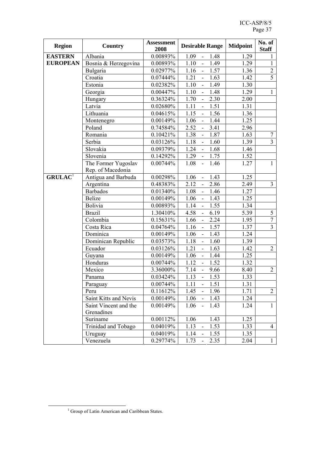| <b>Region</b>      | <b>Country</b>        | <b>Assessment</b><br>2008 | <b>Desirable Range</b>                   | <b>Midpoint</b> | No. of<br><b>Staff</b> |  |
|--------------------|-----------------------|---------------------------|------------------------------------------|-----------------|------------------------|--|
| <b>EASTERN</b>     | Albania               | 0.00893%                  | 1.09<br>1.48<br>$\blacksquare$           | 1.29            | 1                      |  |
| <b>EUROPEAN</b>    | Bosnia & Herzegovina  | 0.00893%                  | 1.10<br>1.49<br>$\blacksquare$           | 1.29            | $\mathbf{1}$           |  |
|                    | Bulgaria              | 0.02977%                  | 1.16<br>1.57<br>$\overline{\phantom{a}}$ | 1.36            | $\overline{2}$         |  |
|                    | Croatia               | $0.07444\%$               | 1.21<br>1.63<br>$\blacksquare$           | 1.42            | $\overline{5}$         |  |
|                    | Estonia               | 0.02382%                  | 1.10<br>1.49<br>$\Box$                   | 1.30            |                        |  |
|                    | Georgia               | 0.00447%                  | 1.10<br>$\Box$<br>1.48                   | 1.29            | $\mathbf{1}$           |  |
|                    | Hungary               | 0.36324%                  | 1.70<br>2.30<br>$\blacksquare$           | 2.00            |                        |  |
|                    | Latvia                | 0.02680%                  | 1.11<br>1.51<br>$\overline{\phantom{a}}$ | 1.31            |                        |  |
|                    | Lithuania             | 0.04615%                  | 1.15<br>1.56<br>$\blacksquare$           | 1.36            |                        |  |
|                    | Montenegro            | 0.00149%                  | 1.44<br>1.06<br>$\Box$                   | 1.25            |                        |  |
|                    | Poland                | 0.74584%                  | 2.52<br>3.41<br>$\Box$                   | 2.96            |                        |  |
|                    | Romania               | 0.10421%                  | 1.38<br>1.87                             | 1.63            | $\tau$                 |  |
|                    | Serbia                | 0.03126%                  | 1.18<br>1.60<br>$\blacksquare$           | 1.39            | $\overline{3}$         |  |
|                    | Slovakia              | 0.09379%                  | 1.24<br>1.68<br>$\mathbf{u}$             | 1.46            |                        |  |
|                    | Slovenia              | 0.14292%                  | 1.29<br>1.75<br>$\Box$                   | 1.52            |                        |  |
|                    | The Former Yugoslav   | 0.00744%                  | 1.08<br>1.46<br>$\mathbf{u}$             | 1.27            | $\mathbf{1}$           |  |
|                    | Rep. of Macedonia     |                           |                                          |                 |                        |  |
| GRULA <sup>1</sup> | Antigua and Barbuda   | 0.00298%                  | 1.06<br>1.43<br>$\overline{\phantom{a}}$ | 1.25            |                        |  |
|                    | Argentina             | 0.48383%                  | 2.12<br>2.86<br>$\overline{\phantom{a}}$ | 2.49            | $\overline{3}$         |  |
|                    | <b>Barbados</b>       | 0.01340%                  | 1.08<br>1.46<br>$\overline{a}$           | 1.27            |                        |  |
|                    | <b>Belize</b>         | 0.00149%                  | 1.06<br>1.43<br>$\overline{\phantom{a}}$ | 1.25            |                        |  |
|                    | <b>Bolivia</b>        | 0.00893%                  | 1.14<br>1.55                             | 1.34            |                        |  |
|                    | <b>Brazil</b>         | 1.30410%                  | 4.58<br>6.19<br>$\overline{\phantom{a}}$ | 5.39            | 5                      |  |
|                    | Colombia              | 0.15631%                  | 1.66<br>2.24<br>$\overline{\phantom{a}}$ | 1.95            | $\overline{7}$         |  |
|                    | Costa Rica            | 0.04764%                  | 1.16<br>1.57<br>$\overline{\phantom{a}}$ | 1.37            | $\overline{3}$         |  |
|                    | Dominica              | 0.00149%                  | 1.43<br>1.06<br>$\Box$                   | 1.24            |                        |  |
|                    | Dominican Republic    | 0.03573%                  | 1.18<br>1.60                             | 1.39            |                        |  |
|                    | Ecuador               | 0.03126%                  | 1.21<br>1.63<br>$\blacksquare$           | 1.42            | $\overline{2}$         |  |
|                    | Guyana                | 0.00149%                  | 1.06<br>1.44<br>$\blacksquare$           | 1.25            |                        |  |
|                    | Honduras              | 0.00744%                  | 1.52<br>1.12                             | 1.32            |                        |  |
|                    | Mexico                | 3.36000%                  | 7.14<br>9.66<br>$\blacksquare$           | 8.40            | $\overline{2}$         |  |
|                    | Panama                | 0.03424%                  | 1.53<br>1.13<br>$\overline{\phantom{a}}$ | 1.33            |                        |  |
|                    | Paraguay              | 0.00744%                  | 1.11<br>1.51<br>$\blacksquare$           | 1.31            |                        |  |
|                    | Peru                  | 0.11612%                  | 1.45<br>1.96<br>$\blacksquare$           | 1.71            | $\overline{2}$         |  |
|                    | Saint Kitts and Nevis | 0.00149%                  | 1.06<br>1.43                             | 1.24            |                        |  |
|                    | Saint Vincent and the | 0.00149%                  | 1.06<br>1.43<br>$\overline{\phantom{a}}$ | 1.24            | $\mathbf{1}$           |  |
|                    | Grenadines            |                           |                                          |                 |                        |  |
|                    | Suriname              | 0.00112%                  | 1.06<br>1.43                             | 1.25            |                        |  |
|                    | Trinidad and Tobago   | 0.04019%                  | 1.13<br>1.53<br>$\blacksquare$           | 1.33            | $\overline{4}$         |  |
|                    | Uruguay               | 0.04019%                  | 1.14<br>1.55<br>$\frac{1}{2}$            | 1.35            |                        |  |
|                    | Venezuela             | 0.29774%                  | 1.73<br>2.35                             | 2.04            | $\mathbf{1}$           |  |

<sup>1</sup>  $1$  Group of Latin American and Caribbean States.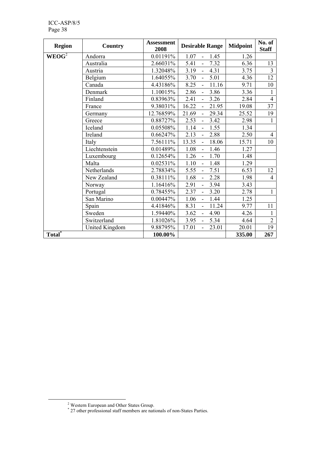| <b>Region</b>      | Country        | <b>Assessment</b><br>2008 | <b>Desirable Range</b>                     | <b>Midpoint</b> | No. of<br><b>Staff</b> |
|--------------------|----------------|---------------------------|--------------------------------------------|-----------------|------------------------|
| WEOG <sup>2</sup>  | Andorra        | 0.01191%                  | 1.07<br>1.45<br>$\overline{a}$             | 1.26            |                        |
|                    | Australia      | 2.66031%                  | 5.41<br>7.32<br>$\overline{a}$             | 6.36            | 13                     |
|                    | Austria        | 1.32048%                  | 3.19<br>4.31                               | 3.75            | $\overline{3}$         |
|                    | Belgium        | 1.64055%                  | 3.70<br>5.01<br>$\overline{a}$             | 4.36            | 12                     |
|                    | Canada         | 4.43186%                  | 8.25<br>11.16                              | 9.71            | 10                     |
|                    | Denmark        | 1.10015%                  | 2.86<br>3.86                               | 3.36            | 1                      |
|                    | Finland        | 0.83963%                  | 2.41<br>3.26<br>$\overline{a}$             | 2.84            | $\overline{4}$         |
|                    | France         | 9.38031%                  | 16.22<br>21.95                             | 19.08           | 37                     |
|                    | Germany        | 12.76859%                 | 21.69<br>29.34<br>$\overline{a}$           | 25.52           | 19                     |
|                    | Greece         | 0.88727%                  | 2.53<br>3.42<br>$\overline{\phantom{0}}$   | 2.98            | 1                      |
|                    | Iceland        | 0.05508%                  | 1.14<br>1.55<br>$\overline{a}$             | 1.34            |                        |
|                    | Ireland        | 0.66247%                  | 2.88<br>2.13<br>$\overline{\phantom{0}}$   | 2.50            | $\overline{4}$         |
|                    | Italy          | 7.56111%                  | 13.35<br>18.06<br>$\overline{\phantom{a}}$ | 15.71           | 10                     |
|                    | Liechtenstein  | 0.01489%                  | 1.08<br>1.46<br>$\overline{\phantom{0}}$   | 1.27            |                        |
|                    | Luxembourg     | $0.12654\%$               | 1.26<br>1.70<br>$\overline{a}$             | 1.48            |                        |
|                    | Malta          | $0.02531\%$               | 1.10<br>1.48<br>$\overline{a}$             | 1.29            |                        |
|                    | Netherlands    | 2.78834%                  | 5.55<br>7.51<br>$\overline{a}$             | 6.53            | 12                     |
|                    | New Zealand    | 0.38111%                  | 1.68<br>2.28                               | 1.98            | $\overline{4}$         |
|                    | Norway         | 1.16416%                  | 2.91<br>3.94                               | 3.43            |                        |
|                    | Portugal       | 0.78455%                  | 2.37<br>3.20<br>$\overline{a}$             | 2.78            | $\mathbf{1}$           |
|                    | San Marino     | 0.00447%                  | 1.06<br>1.44<br>$\blacksquare$             | 1.25            |                        |
|                    | Spain          | 4.41846%                  | 8.31<br>11.24<br>$\overline{a}$            | 9.77            | 11                     |
|                    | Sweden         | 1.59440%                  | 3.62<br>4.90                               | 4.26            | 1                      |
|                    | Switzerland    | 1.81026%                  | 3.95<br>5.34<br>$\overline{a}$             | 4.64            | $\overline{2}$         |
|                    | United Kingdom | 9.88795%                  | 17.01<br>23.01<br>$\overline{a}$           | 20.01           | 19                     |
| Total <sup>*</sup> |                | 100.00%                   |                                            | 335.00          | 267                    |

 $\frac{1}{2}$ 

Western European and Other States Group. \* 27 other professional staff members are nationals of non-States Parties.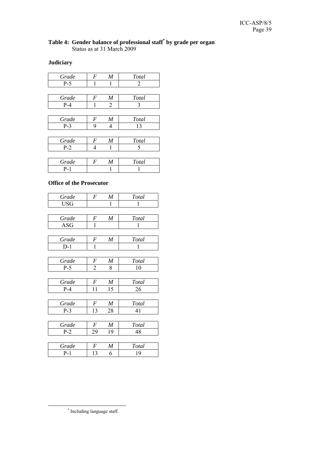#### **Table 4: Gender balance of professional staff\* by grade per organ**  Status as at 31 March 2009

## **Judiciary**

| Grade   | $\boldsymbol{F}$ | $\boldsymbol{M}$ | <b>Total</b> |
|---------|------------------|------------------|--------------|
| $P-5$   | 1                | 1                | 2            |
|         |                  |                  |              |
| Grade   | $\boldsymbol{F}$ | $\boldsymbol{M}$ | <b>Total</b> |
| $P - 4$ | 1                | 2                | 3            |
|         |                  |                  |              |
| Grade   | $\boldsymbol{F}$ | $\boldsymbol{M}$ | <b>Total</b> |
| $P-3$   | 9                | 4                | 13           |
|         |                  |                  |              |
| Grade   | $\boldsymbol{F}$ | $\boldsymbol{M}$ | <b>Total</b> |
| $P-2$   | 4                | 1                | 5            |
|         |                  |                  |              |
| Grade   | $\boldsymbol{F}$ | $\boldsymbol{M}$ | Total        |
| $P-1$   |                  |                  |              |

#### **Office of the Prosecutor**

| Grade      | $\boldsymbol{F}$ | $\boldsymbol{M}$ | Total |
|------------|------------------|------------------|-------|
| <b>USG</b> |                  | 1                | 1     |
|            |                  |                  |       |
| Grade      | $\boldsymbol{F}$ | $\boldsymbol{M}$ | Total |
| <b>ASG</b> | 1                |                  | 1     |
|            |                  |                  |       |
| Grade      | $\boldsymbol{F}$ | M                | Total |
| $D-1$      | 1                |                  | 1     |
|            |                  |                  |       |
| Grade      | F                | $\boldsymbol{M}$ | Total |
| $P-5$      | $\overline{2}$   | 8                | 10    |
|            |                  |                  |       |
| Grade      | $\boldsymbol{F}$ | M                | Total |
| $P-4$      | 11               | 15               | 26    |
|            |                  |                  |       |
| Grade      | F                | M                | Total |
| $P-3$      | 13               | 28               | 41    |
|            |                  |                  |       |
| Grade      | F                | M                | Total |
| $P-2$      | 29               | 19               | 48    |
|            |                  |                  |       |
| Grade      | F                | $\boldsymbol{M}$ | Total |
| $P-1$      | 13               | 6                | 19    |

 <sup>\*</sup> \* Including language staff.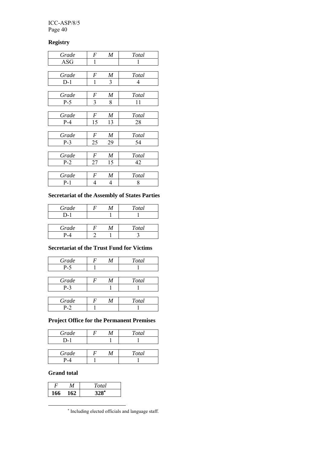#### ICC-ASP/8/5 Page 40

#### **Registry**

| F                | M                | Total |
|------------------|------------------|-------|
| 1                |                  | 1     |
|                  |                  |       |
| F                | $\boldsymbol{M}$ | Total |
| 1                | 3                | 4     |
|                  |                  |       |
| $\boldsymbol{F}$ | M                | Total |
| 3                | 8                | 11    |
|                  |                  |       |
| $\boldsymbol{F}$ | $\boldsymbol{M}$ | Total |
| 15               | 13               | 28    |
|                  |                  |       |
| $\boldsymbol{F}$ | M                | Total |
| 25               | 29               | 54    |
|                  |                  |       |
| $\boldsymbol{F}$ | $\boldsymbol{M}$ | Total |
| 27               | 15               | 42    |
|                  |                  |       |
| $\boldsymbol{F}$ | M                | Total |
| 4                | 4                | 8     |
|                  |                  |       |

#### **Secretariat of the Assembly of States Parties**

| Grade | M | Total        |
|-------|---|--------------|
| $D-1$ |   |              |
|       |   |              |
| Grade | M | <b>Total</b> |
| P-4   |   |              |

### **Secretariat of the Trust Fund for Victims**

| Grade | M | Total         |
|-------|---|---------------|
| $P-5$ |   |               |
|       |   |               |
|       |   |               |
| Grade | М | <b>T</b> otal |
| $P-3$ |   |               |

### **Project Office for the Permanent Premises**

| Grade | M | <b>Total</b> |
|-------|---|--------------|
|       |   |              |
|       |   |              |
| Grade | М | Total        |

| Graae | /VI | <i>*^</i> **<br>ັ |
|-------|-----|-------------------|
|       |     |                   |
|       |     |                   |

#### **Grand total**

 $\overline{a}$ 

|     | Total              |
|-----|--------------------|
| 166 | $328$ <sup>*</sup> |
|     |                    |

∗ Including elected officials and language staff.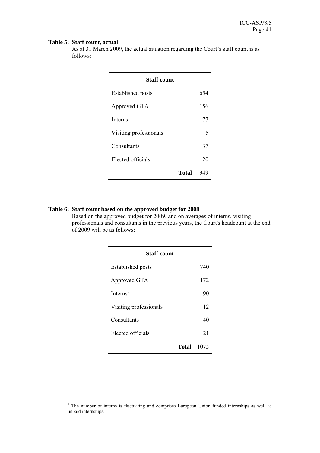#### **Table 5: Staff count, actual**

As at 31 March 2009, the actual situation regarding the Court's staff count is as follows:

| <b>Staff count</b>       |       |     |
|--------------------------|-------|-----|
| <b>Established posts</b> |       | 654 |
| Approved GTA             |       | 156 |
| <b>Interns</b>           |       | 77  |
| Visiting professionals   |       | 5   |
| Consultants              |       | 37  |
| Elected officials        |       | 20  |
|                          | Total |     |

#### **Table 6: Staff count based on the approved budget for 2008**

Based on the approved budget for 2009, and on averages of interns, visiting professionals and consultants in the previous years, the Court's headcount at the end of 2009 will be as follows:

| <b>Staff count</b>       |      |
|--------------------------|------|
| <b>Established posts</b> | 740  |
| Approved GTA             | 172  |
| Interns <sup>1</sup>     | 90   |
| Visiting professionals   | 12   |
| Consultants              | 40   |
| Elected officials        | 21   |
| Total                    | 1075 |

 $\frac{1}{1}$ <sup>1</sup> The number of interns is fluctuating and comprises European Union funded internships as well as unpaid internships.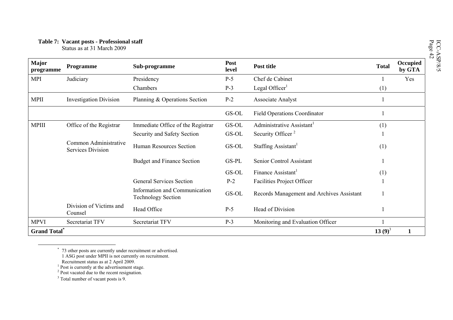| <b>Major</b><br>programme | Programme                                         | Sub-programme                                              | Post<br>level | Post title                                | <b>Total</b> | Occupied<br>by GTA |
|---------------------------|---------------------------------------------------|------------------------------------------------------------|---------------|-------------------------------------------|--------------|--------------------|
| <b>MPI</b>                | Judiciary                                         | Presidency                                                 | $P-5$         | Chef de Cabinet                           |              | Yes                |
|                           |                                                   | Chambers                                                   | $P-3$         | Legal Officer <sup>1</sup>                | (1)          |                    |
| <b>MPII</b>               | <b>Investigation Division</b>                     | Planning & Operations Section                              | $P-2$         | Associate Analyst                         |              |                    |
|                           |                                                   |                                                            | GS-OL         | <b>Field Operations Coordinator</b>       |              |                    |
| <b>MPIII</b>              | Office of the Registrar                           | Immediate Office of the Registrar                          | GS-OL         | Administrative Assistant <sup>1</sup>     | (1)          |                    |
|                           |                                                   | Security and Safety Section                                | GS-OL         | Security Officer <sup>2</sup>             |              |                    |
|                           | Common Administrative<br><b>Services Division</b> | <b>Human Resources Section</b>                             | GS-OL         | Staffing Assistant                        | (1)          |                    |
|                           |                                                   | <b>Budget and Finance Section</b>                          | GS-PL         | Senior Control Assistant                  |              |                    |
|                           |                                                   |                                                            | GS-OL         | Finance Assistant <sup>1</sup>            | (1)          |                    |
|                           |                                                   | <b>General Services Section</b>                            | $P-2$         | Facilities Project Officer                |              |                    |
|                           |                                                   | Information and Communication<br><b>Technology Section</b> | GS-OL         | Records Management and Archives Assistant |              |                    |
|                           | Division of Victims and<br>Counsel                | Head Office                                                | $P-5$         | Head of Division                          |              |                    |
| <b>MPVI</b>               | Secretariat TFV                                   | Secretariat TFV                                            | $P-3$         | Monitoring and Evaluation Officer         |              |                    |
| <b>Grand Total</b> *      |                                                   |                                                            |               |                                           | 13 $(9)^3$   |                    |

<sup>\* 73</sup> other posts are currently under recruitment or advertised.

 <sup>1</sup> ASG post under MPII is not currently on recruitment.

Recruitment status as at 2 April 2009.

 $<sup>1</sup>$  Post is currently at the advertisement stage.</sup>

<sup>&</sup>lt;sup>2</sup> Post vacated due to the recent resignation.

<sup>&</sup>lt;sup>3</sup> Total number of vacant posts is 9.